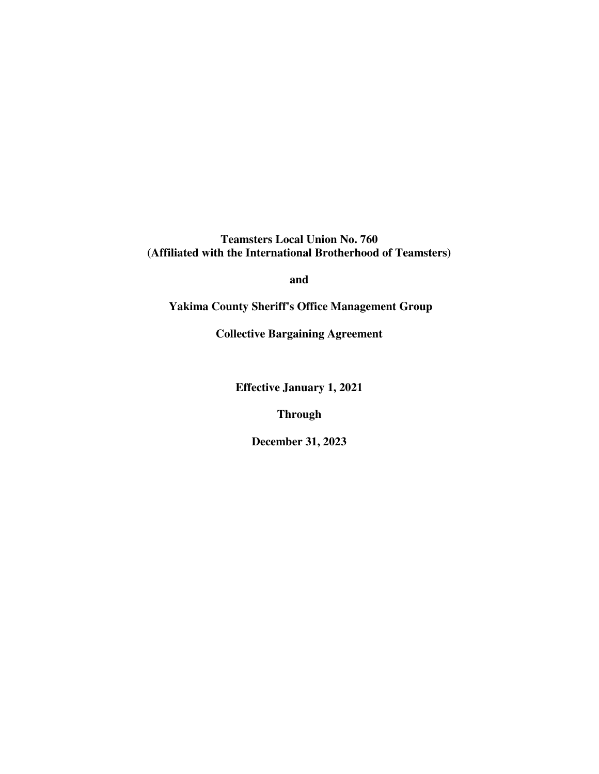**Teamsters Local Union No. 760 (Affiliated with the International Brotherhood of Teamsters)** 

**and** 

 **Yakima County Sheriff's Office Management Group** 

**Collective Bargaining Agreement** 

**Effective January 1, 2021** 

**Through** 

**December 31, 2023**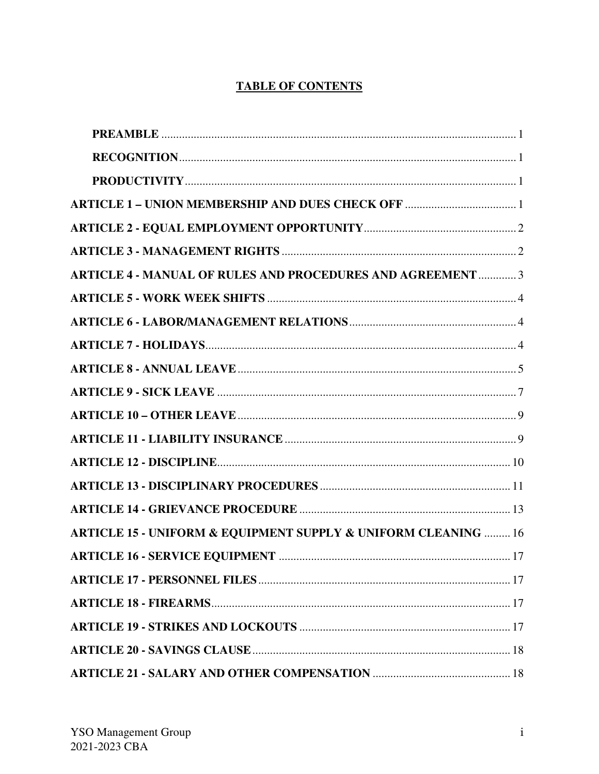# **TABLE OF CONTENTS**

| <b>ARTICLE 1 - UNION MEMBERSHIP AND DUES CHECK OFF 1</b>                      |  |
|-------------------------------------------------------------------------------|--|
|                                                                               |  |
|                                                                               |  |
| <b>ARTICLE 4 - MANUAL OF RULES AND PROCEDURES AND AGREEMENT  3</b>            |  |
|                                                                               |  |
|                                                                               |  |
|                                                                               |  |
|                                                                               |  |
|                                                                               |  |
|                                                                               |  |
|                                                                               |  |
|                                                                               |  |
|                                                                               |  |
|                                                                               |  |
| <b>ARTICLE 15 - UNIFORM &amp; EQUIPMENT SUPPLY &amp; UNIFORM CLEANING  16</b> |  |
|                                                                               |  |
|                                                                               |  |
|                                                                               |  |
|                                                                               |  |
|                                                                               |  |
|                                                                               |  |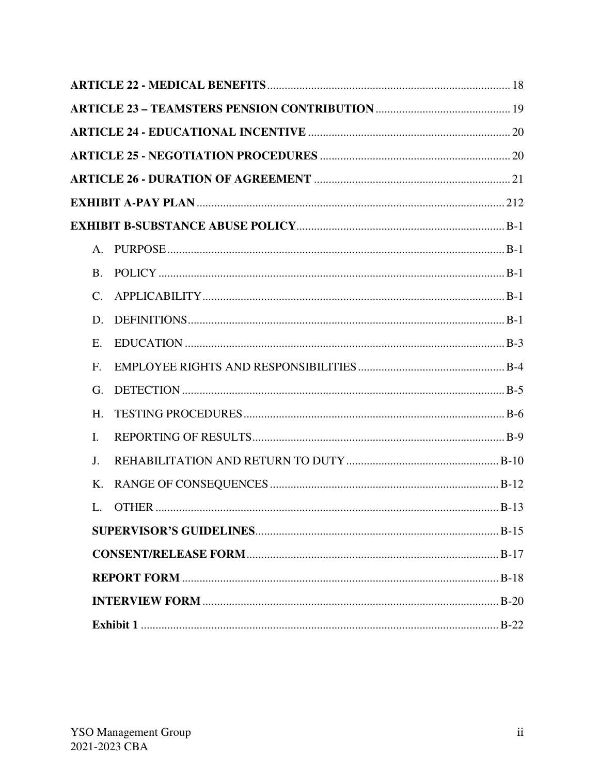| A.           |  |
|--------------|--|
| <b>B.</b>    |  |
| $C_{\cdot}$  |  |
| D.           |  |
| Ε.           |  |
| F.           |  |
| G.           |  |
| H.           |  |
| Ι.           |  |
| J.           |  |
| K.           |  |
| $\mathbf{L}$ |  |
|              |  |
|              |  |
|              |  |
|              |  |
|              |  |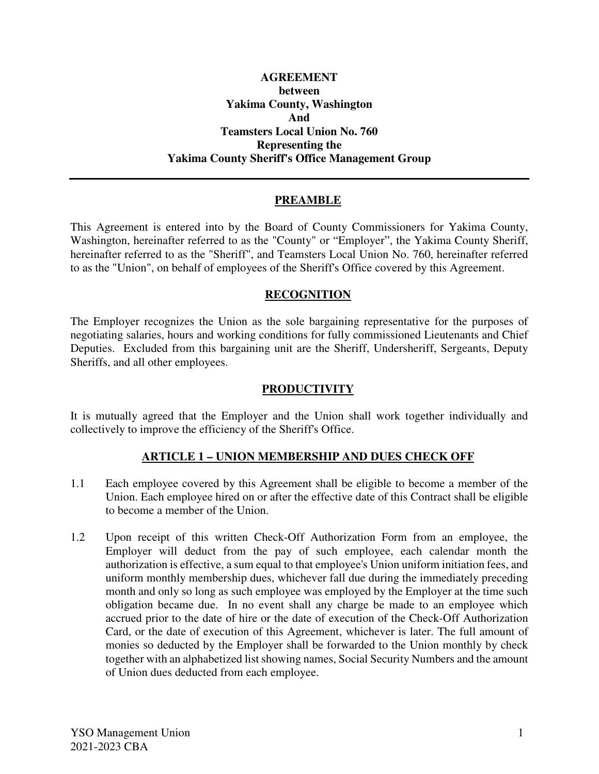### **AGREEMENT between Yakima County, Washington And Teamsters Local Union No. 760 Representing the Yakima County Sheriff's Office Management Group**

## **PREAMBLE**

This Agreement is entered into by the Board of County Commissioners for Yakima County, Washington, hereinafter referred to as the "County" or "Employer", the Yakima County Sheriff, hereinafter referred to as the "Sheriff", and Teamsters Local Union No. 760, hereinafter referred to as the "Union", on behalf of employees of the Sheriff's Office covered by this Agreement.

### **RECOGNITION**

The Employer recognizes the Union as the sole bargaining representative for the purposes of negotiating salaries, hours and working conditions for fully commissioned Lieutenants and Chief Deputies. Excluded from this bargaining unit are the Sheriff, Undersheriff, Sergeants, Deputy Sheriffs, and all other employees.

#### **PRODUCTIVITY**

It is mutually agreed that the Employer and the Union shall work together individually and collectively to improve the efficiency of the Sheriff's Office.

### **ARTICLE 1 – UNION MEMBERSHIP AND DUES CHECK OFF**

- 1.1 Each employee covered by this Agreement shall be eligible to become a member of the Union. Each employee hired on or after the effective date of this Contract shall be eligible to become a member of the Union.
- 1.2 Upon receipt of this written Check-Off Authorization Form from an employee, the Employer will deduct from the pay of such employee, each calendar month the authorization is effective, a sum equal to that employee's Union uniform initiation fees, and uniform monthly membership dues, whichever fall due during the immediately preceding month and only so long as such employee was employed by the Employer at the time such obligation became due. In no event shall any charge be made to an employee which accrued prior to the date of hire or the date of execution of the Check-Off Authorization Card, or the date of execution of this Agreement, whichever is later. The full amount of monies so deducted by the Employer shall be forwarded to the Union monthly by check together with an alphabetized list showing names, Social Security Numbers and the amount of Union dues deducted from each employee.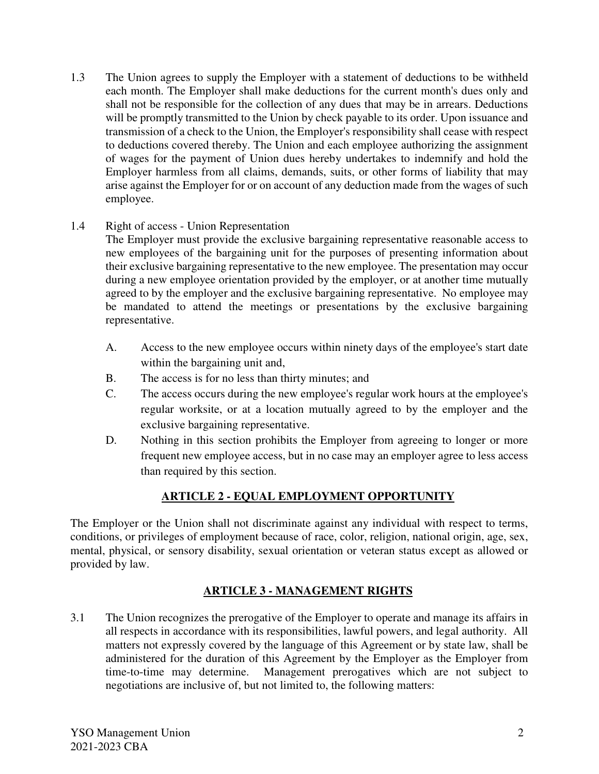1.3 The Union agrees to supply the Employer with a statement of deductions to be withheld each month. The Employer shall make deductions for the current month's dues only and shall not be responsible for the collection of any dues that may be in arrears. Deductions will be promptly transmitted to the Union by check payable to its order. Upon issuance and transmission of a check to the Union, the Employer's responsibility shall cease with respect to deductions covered thereby. The Union and each employee authorizing the assignment of wages for the payment of Union dues hereby undertakes to indemnify and hold the Employer harmless from all claims, demands, suits, or other forms of liability that may arise against the Employer for or on account of any deduction made from the wages of such employee.

## 1.4 Right of access - Union Representation

The Employer must provide the exclusive bargaining representative reasonable access to new employees of the bargaining unit for the purposes of presenting information about their exclusive bargaining representative to the new employee. The presentation may occur during a new employee orientation provided by the employer, or at another time mutually agreed to by the employer and the exclusive bargaining representative. No employee may be mandated to attend the meetings or presentations by the exclusive bargaining representative.

- A. Access to the new employee occurs within ninety days of the employee's start date within the bargaining unit and,
- B. The access is for no less than thirty minutes; and
- C. The access occurs during the new employee's regular work hours at the employee's regular worksite, or at a location mutually agreed to by the employer and the exclusive bargaining representative.
- D. Nothing in this section prohibits the Employer from agreeing to longer or more frequent new employee access, but in no case may an employer agree to less access than required by this section.

# **ARTICLE 2 - EQUAL EMPLOYMENT OPPORTUNITY**

The Employer or the Union shall not discriminate against any individual with respect to terms, conditions, or privileges of employment because of race, color, religion, national origin, age, sex, mental, physical, or sensory disability, sexual orientation or veteran status except as allowed or provided by law.

# **ARTICLE 3 - MANAGEMENT RIGHTS**

3.1 The Union recognizes the prerogative of the Employer to operate and manage its affairs in all respects in accordance with its responsibilities, lawful powers, and legal authority. All matters not expressly covered by the language of this Agreement or by state law, shall be administered for the duration of this Agreement by the Employer as the Employer from time-to-time may determine. Management prerogatives which are not subject to negotiations are inclusive of, but not limited to, the following matters: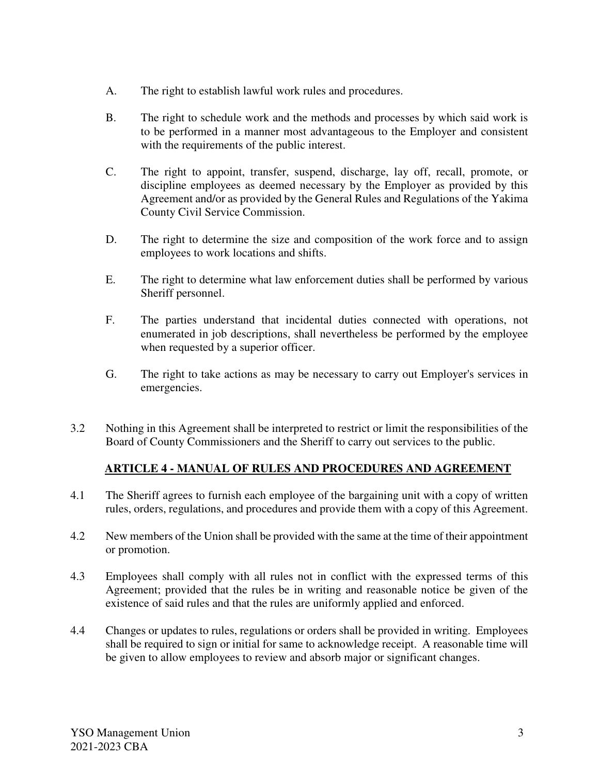- A. The right to establish lawful work rules and procedures.
- B. The right to schedule work and the methods and processes by which said work is to be performed in a manner most advantageous to the Employer and consistent with the requirements of the public interest.
- C. The right to appoint, transfer, suspend, discharge, lay off, recall, promote, or discipline employees as deemed necessary by the Employer as provided by this Agreement and/or as provided by the General Rules and Regulations of the Yakima County Civil Service Commission.
- D. The right to determine the size and composition of the work force and to assign employees to work locations and shifts.
- E. The right to determine what law enforcement duties shall be performed by various Sheriff personnel.
- F. The parties understand that incidental duties connected with operations, not enumerated in job descriptions, shall nevertheless be performed by the employee when requested by a superior officer.
- G. The right to take actions as may be necessary to carry out Employer's services in emergencies.
- 3.2 Nothing in this Agreement shall be interpreted to restrict or limit the responsibilities of the Board of County Commissioners and the Sheriff to carry out services to the public.

# **ARTICLE 4 - MANUAL OF RULES AND PROCEDURES AND AGREEMENT**

- 4.1 The Sheriff agrees to furnish each employee of the bargaining unit with a copy of written rules, orders, regulations, and procedures and provide them with a copy of this Agreement.
- 4.2 New members of the Union shall be provided with the same at the time of their appointment or promotion.
- 4.3 Employees shall comply with all rules not in conflict with the expressed terms of this Agreement; provided that the rules be in writing and reasonable notice be given of the existence of said rules and that the rules are uniformly applied and enforced.
- 4.4 Changes or updates to rules, regulations or orders shall be provided in writing. Employees shall be required to sign or initial for same to acknowledge receipt. A reasonable time will be given to allow employees to review and absorb major or significant changes.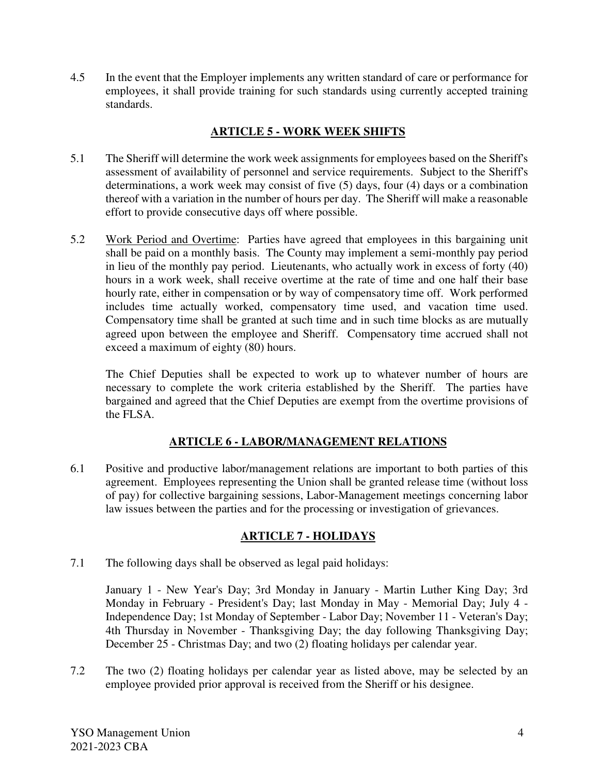4.5 In the event that the Employer implements any written standard of care or performance for employees, it shall provide training for such standards using currently accepted training standards.

# **ARTICLE 5 - WORK WEEK SHIFTS**

- 5.1 The Sheriff will determine the work week assignments for employees based on the Sheriff's assessment of availability of personnel and service requirements. Subject to the Sheriff's determinations, a work week may consist of five (5) days, four (4) days or a combination thereof with a variation in the number of hours per day. The Sheriff will make a reasonable effort to provide consecutive days off where possible.
- 5.2 Work Period and Overtime: Parties have agreed that employees in this bargaining unit shall be paid on a monthly basis. The County may implement a semi-monthly pay period in lieu of the monthly pay period. Lieutenants, who actually work in excess of forty (40) hours in a work week, shall receive overtime at the rate of time and one half their base hourly rate, either in compensation or by way of compensatory time off. Work performed includes time actually worked, compensatory time used, and vacation time used. Compensatory time shall be granted at such time and in such time blocks as are mutually agreed upon between the employee and Sheriff. Compensatory time accrued shall not exceed a maximum of eighty (80) hours.

The Chief Deputies shall be expected to work up to whatever number of hours are necessary to complete the work criteria established by the Sheriff. The parties have bargained and agreed that the Chief Deputies are exempt from the overtime provisions of the FLSA.

# **ARTICLE 6 - LABOR/MANAGEMENT RELATIONS**

6.1 Positive and productive labor/management relations are important to both parties of this agreement. Employees representing the Union shall be granted release time (without loss of pay) for collective bargaining sessions, Labor-Management meetings concerning labor law issues between the parties and for the processing or investigation of grievances.

# **ARTICLE 7 - HOLIDAYS**

7.1 The following days shall be observed as legal paid holidays:

 January 1 - New Year's Day; 3rd Monday in January - Martin Luther King Day; 3rd Monday in February - President's Day; last Monday in May - Memorial Day; July 4 - Independence Day; 1st Monday of September - Labor Day; November 11 - Veteran's Day; 4th Thursday in November - Thanksgiving Day; the day following Thanksgiving Day; December 25 - Christmas Day; and two (2) floating holidays per calendar year.

7.2 The two (2) floating holidays per calendar year as listed above, may be selected by an employee provided prior approval is received from the Sheriff or his designee.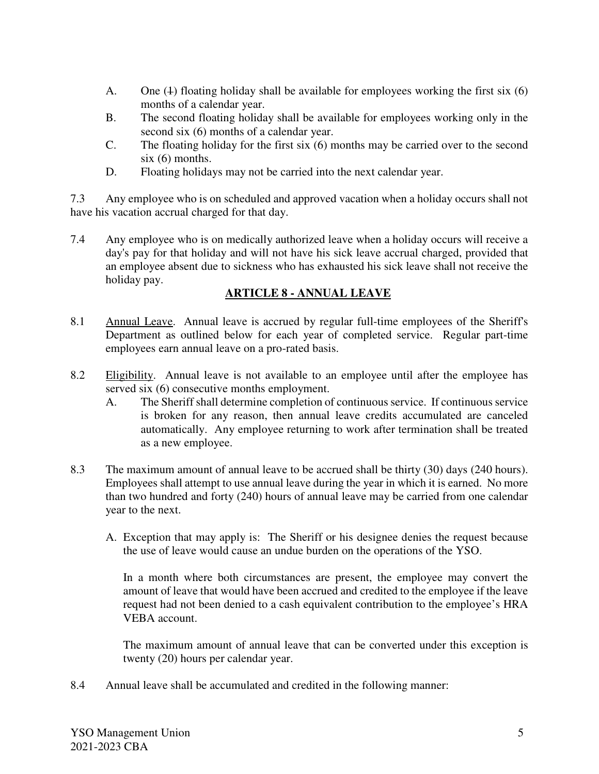- A. One  $(4)$  floating holiday shall be available for employees working the first six  $(6)$ months of a calendar year.
- B. The second floating holiday shall be available for employees working only in the second six (6) months of a calendar year.
- C. The floating holiday for the first six (6) months may be carried over to the second six (6) months.
- D. Floating holidays may not be carried into the next calendar year.

7.3 Any employee who is on scheduled and approved vacation when a holiday occurs shall not have his vacation accrual charged for that day.

7.4 Any employee who is on medically authorized leave when a holiday occurs will receive a day's pay for that holiday and will not have his sick leave accrual charged, provided that an employee absent due to sickness who has exhausted his sick leave shall not receive the holiday pay.

# **ARTICLE 8 - ANNUAL LEAVE**

- 8.1 Annual Leave. Annual leave is accrued by regular full-time employees of the Sheriff's Department as outlined below for each year of completed service. Regular part-time employees earn annual leave on a pro-rated basis.
- 8.2 Eligibility. Annual leave is not available to an employee until after the employee has served six (6) consecutive months employment.
	- A. The Sheriff shall determine completion of continuous service. If continuous service is broken for any reason, then annual leave credits accumulated are canceled automatically. Any employee returning to work after termination shall be treated as a new employee.
- 8.3 The maximum amount of annual leave to be accrued shall be thirty (30) days (240 hours). Employees shall attempt to use annual leave during the year in which it is earned. No more than two hundred and forty (240) hours of annual leave may be carried from one calendar year to the next.
	- A. Exception that may apply is: The Sheriff or his designee denies the request because the use of leave would cause an undue burden on the operations of the YSO.

In a month where both circumstances are present, the employee may convert the amount of leave that would have been accrued and credited to the employee if the leave request had not been denied to a cash equivalent contribution to the employee's HRA VEBA account.

The maximum amount of annual leave that can be converted under this exception is twenty (20) hours per calendar year.

8.4 Annual leave shall be accumulated and credited in the following manner: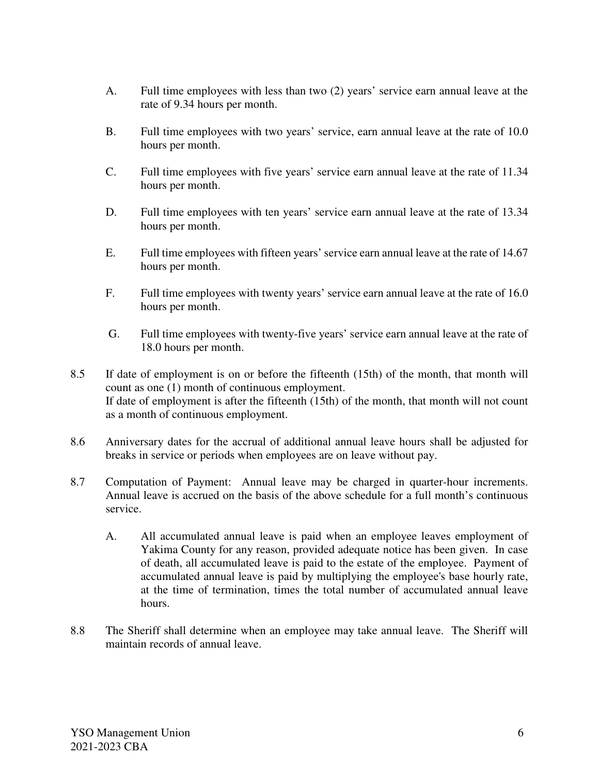- A. Full time employees with less than two (2) years' service earn annual leave at the rate of 9.34 hours per month.
- B. Full time employees with two years' service, earn annual leave at the rate of 10.0 hours per month.
- C. Full time employees with five years' service earn annual leave at the rate of 11.34 hours per month.
- D. Full time employees with ten years' service earn annual leave at the rate of 13.34 hours per month.
- E. Full time employees with fifteen years' service earn annual leave at the rate of 14.67 hours per month.
- F. Full time employees with twenty years' service earn annual leave at the rate of 16.0 hours per month.
- G. Full time employees with twenty-five years' service earn annual leave at the rate of 18.0 hours per month.
- 8.5 If date of employment is on or before the fifteenth (15th) of the month, that month will count as one (1) month of continuous employment. If date of employment is after the fifteenth (15th) of the month, that month will not count as a month of continuous employment.
- 8.6 Anniversary dates for the accrual of additional annual leave hours shall be adjusted for breaks in service or periods when employees are on leave without pay.
- 8.7 Computation of Payment: Annual leave may be charged in quarter-hour increments. Annual leave is accrued on the basis of the above schedule for a full month's continuous service.
	- A. All accumulated annual leave is paid when an employee leaves employment of Yakima County for any reason, provided adequate notice has been given. In case of death, all accumulated leave is paid to the estate of the employee. Payment of accumulated annual leave is paid by multiplying the employee's base hourly rate, at the time of termination, times the total number of accumulated annual leave hours.
- 8.8 The Sheriff shall determine when an employee may take annual leave. The Sheriff will maintain records of annual leave.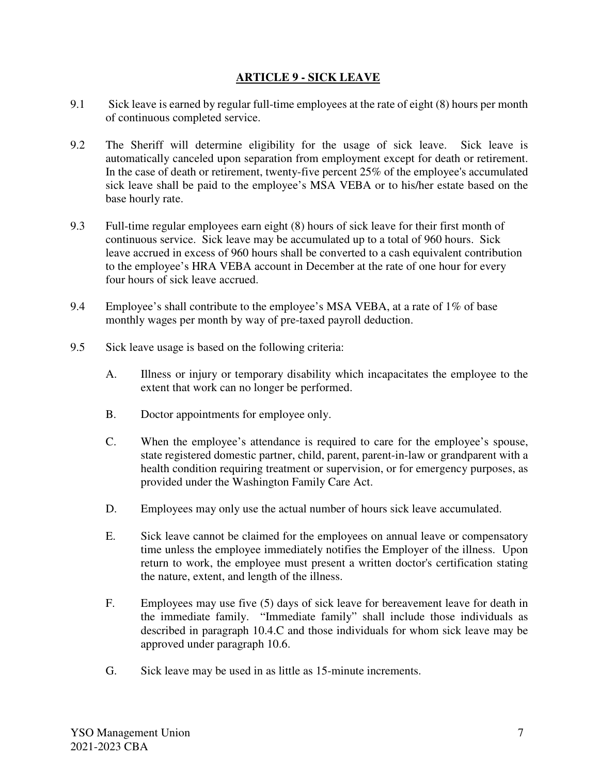### **ARTICLE 9 - SICK LEAVE**

- 9.1 Sick leave is earned by regular full-time employees at the rate of eight (8) hours per month of continuous completed service.
- 9.2 The Sheriff will determine eligibility for the usage of sick leave. Sick leave is automatically canceled upon separation from employment except for death or retirement. In the case of death or retirement, twenty-five percent 25% of the employee's accumulated sick leave shall be paid to the employee's MSA VEBA or to his/her estate based on the base hourly rate.
- 9.3 Full-time regular employees earn eight (8) hours of sick leave for their first month of continuous service. Sick leave may be accumulated up to a total of 960 hours. Sick leave accrued in excess of 960 hours shall be converted to a cash equivalent contribution to the employee's HRA VEBA account in December at the rate of one hour for every four hours of sick leave accrued.
- 9.4 Employee's shall contribute to the employee's MSA VEBA, at a rate of 1% of base monthly wages per month by way of pre-taxed payroll deduction.
- 9.5 Sick leave usage is based on the following criteria:
	- A. Illness or injury or temporary disability which incapacitates the employee to the extent that work can no longer be performed.
	- B. Doctor appointments for employee only.
	- C. When the employee's attendance is required to care for the employee's spouse, state registered domestic partner, child, parent, parent-in-law or grandparent with a health condition requiring treatment or supervision, or for emergency purposes, as provided under the Washington Family Care Act.
	- D. Employees may only use the actual number of hours sick leave accumulated.
	- E. Sick leave cannot be claimed for the employees on annual leave or compensatory time unless the employee immediately notifies the Employer of the illness. Upon return to work, the employee must present a written doctor's certification stating the nature, extent, and length of the illness.
	- F. Employees may use five (5) days of sick leave for bereavement leave for death in the immediate family. "Immediate family" shall include those individuals as described in paragraph 10.4.C and those individuals for whom sick leave may be approved under paragraph 10.6.
	- G. Sick leave may be used in as little as 15-minute increments.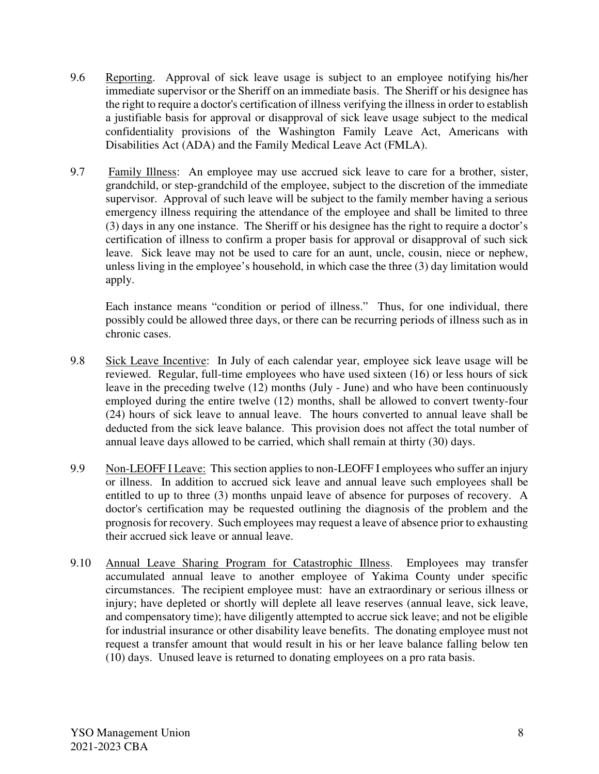- 9.6 Reporting. Approval of sick leave usage is subject to an employee notifying his/her immediate supervisor or the Sheriff on an immediate basis. The Sheriff or his designee has the right to require a doctor's certification of illness verifying the illness in order to establish a justifiable basis for approval or disapproval of sick leave usage subject to the medical confidentiality provisions of the Washington Family Leave Act, Americans with Disabilities Act (ADA) and the Family Medical Leave Act (FMLA).
- 9.7 Family Illness: An employee may use accrued sick leave to care for a brother, sister, grandchild, or step-grandchild of the employee, subject to the discretion of the immediate supervisor. Approval of such leave will be subject to the family member having a serious emergency illness requiring the attendance of the employee and shall be limited to three (3) days in any one instance. The Sheriff or his designee has the right to require a doctor's certification of illness to confirm a proper basis for approval or disapproval of such sick leave. Sick leave may not be used to care for an aunt, uncle, cousin, niece or nephew, unless living in the employee's household, in which case the three (3) day limitation would apply.

Each instance means "condition or period of illness." Thus, for one individual, there possibly could be allowed three days, or there can be recurring periods of illness such as in chronic cases.

- 9.8 Sick Leave Incentive: In July of each calendar year, employee sick leave usage will be reviewed. Regular, full-time employees who have used sixteen (16) or less hours of sick leave in the preceding twelve (12) months (July - June) and who have been continuously employed during the entire twelve (12) months, shall be allowed to convert twenty-four (24) hours of sick leave to annual leave. The hours converted to annual leave shall be deducted from the sick leave balance. This provision does not affect the total number of annual leave days allowed to be carried, which shall remain at thirty (30) days.
- 9.9 Non-LEOFF I Leave: This section applies to non-LEOFF I employees who suffer an injury or illness. In addition to accrued sick leave and annual leave such employees shall be entitled to up to three (3) months unpaid leave of absence for purposes of recovery. A doctor's certification may be requested outlining the diagnosis of the problem and the prognosis for recovery. Such employees may request a leave of absence prior to exhausting their accrued sick leave or annual leave.
- 9.10 Annual Leave Sharing Program for Catastrophic Illness. Employees may transfer accumulated annual leave to another employee of Yakima County under specific circumstances. The recipient employee must: have an extraordinary or serious illness or injury; have depleted or shortly will deplete all leave reserves (annual leave, sick leave, and compensatory time); have diligently attempted to accrue sick leave; and not be eligible for industrial insurance or other disability leave benefits. The donating employee must not request a transfer amount that would result in his or her leave balance falling below ten (10) days. Unused leave is returned to donating employees on a pro rata basis.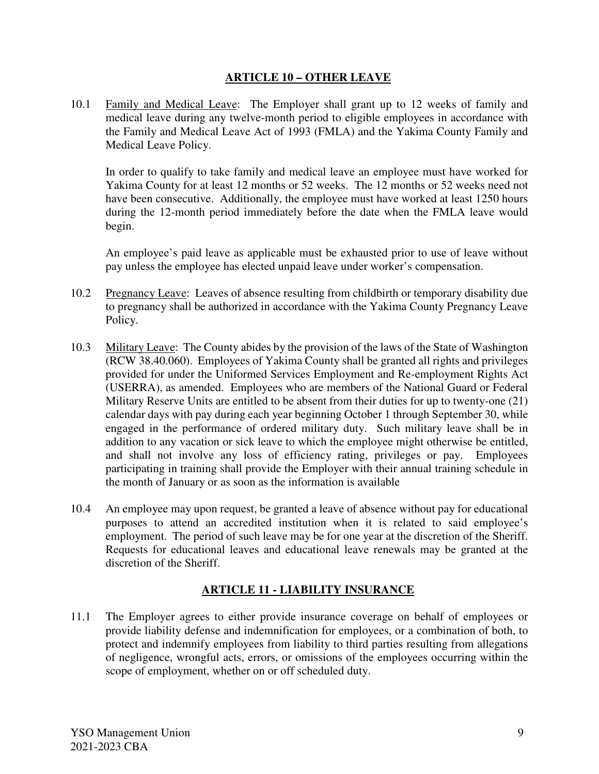## **ARTICLE 10 – OTHER LEAVE**

10.1 Family and Medical Leave: The Employer shall grant up to 12 weeks of family and medical leave during any twelve-month period to eligible employees in accordance with the Family and Medical Leave Act of 1993 (FMLA) and the Yakima County Family and Medical Leave Policy.

In order to qualify to take family and medical leave an employee must have worked for Yakima County for at least 12 months or 52 weeks. The 12 months or 52 weeks need not have been consecutive. Additionally, the employee must have worked at least 1250 hours during the 12-month period immediately before the date when the FMLA leave would begin.

An employee's paid leave as applicable must be exhausted prior to use of leave without pay unless the employee has elected unpaid leave under worker's compensation.

- 10.2 Pregnancy Leave: Leaves of absence resulting from childbirth or temporary disability due to pregnancy shall be authorized in accordance with the Yakima County Pregnancy Leave Policy.
- 10.3 Military Leave: The County abides by the provision of the laws of the State of Washington (RCW 38.40.060). Employees of Yakima County shall be granted all rights and privileges provided for under the Uniformed Services Employment and Re-employment Rights Act (USERRA), as amended. Employees who are members of the National Guard or Federal Military Reserve Units are entitled to be absent from their duties for up to twenty-one (21) calendar days with pay during each year beginning October 1 through September 30, while engaged in the performance of ordered military duty. Such military leave shall be in addition to any vacation or sick leave to which the employee might otherwise be entitled, and shall not involve any loss of efficiency rating, privileges or pay. Employees participating in training shall provide the Employer with their annual training schedule in the month of January or as soon as the information is available
- 10.4 An employee may upon request, be granted a leave of absence without pay for educational purposes to attend an accredited institution when it is related to said employee's employment. The period of such leave may be for one year at the discretion of the Sheriff. Requests for educational leaves and educational leave renewals may be granted at the discretion of the Sheriff.

# **ARTICLE 11 - LIABILITY INSURANCE**

11.1 The Employer agrees to either provide insurance coverage on behalf of employees or provide liability defense and indemnification for employees, or a combination of both, to protect and indemnify employees from liability to third parties resulting from allegations of negligence, wrongful acts, errors, or omissions of the employees occurring within the scope of employment, whether on or off scheduled duty.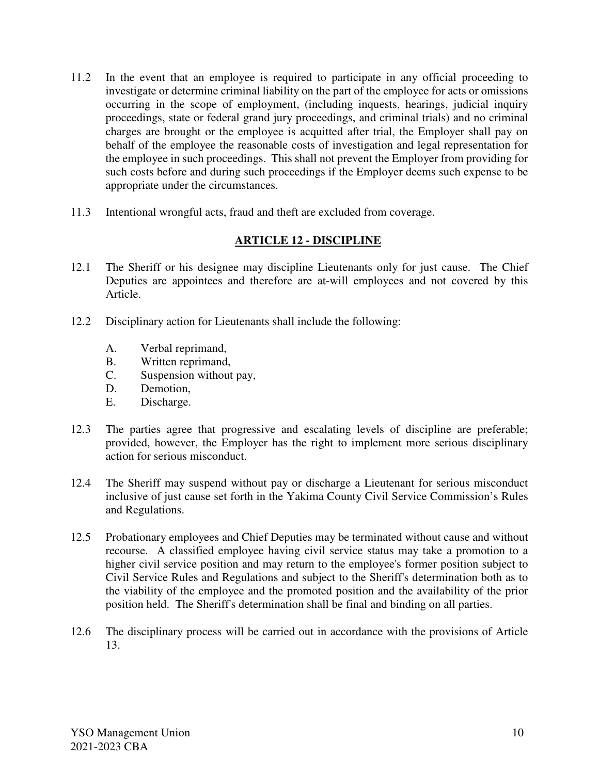- 11.2 In the event that an employee is required to participate in any official proceeding to investigate or determine criminal liability on the part of the employee for acts or omissions occurring in the scope of employment, (including inquests, hearings, judicial inquiry proceedings, state or federal grand jury proceedings, and criminal trials) and no criminal charges are brought or the employee is acquitted after trial, the Employer shall pay on behalf of the employee the reasonable costs of investigation and legal representation for the employee in such proceedings. This shall not prevent the Employer from providing for such costs before and during such proceedings if the Employer deems such expense to be appropriate under the circumstances.
- 11.3 Intentional wrongful acts, fraud and theft are excluded from coverage.

## **ARTICLE 12 - DISCIPLINE**

- 12.1 The Sheriff or his designee may discipline Lieutenants only for just cause. The Chief Deputies are appointees and therefore are at-will employees and not covered by this Article.
- 12.2 Disciplinary action for Lieutenants shall include the following:
	- A. Verbal reprimand,
	- B. Written reprimand,
	- C. Suspension without pay,
	- D. Demotion,
	- E. Discharge.
- 12.3 The parties agree that progressive and escalating levels of discipline are preferable; provided, however, the Employer has the right to implement more serious disciplinary action for serious misconduct.
- 12.4 The Sheriff may suspend without pay or discharge a Lieutenant for serious misconduct inclusive of just cause set forth in the Yakima County Civil Service Commission's Rules and Regulations.
- 12.5 Probationary employees and Chief Deputies may be terminated without cause and without recourse. A classified employee having civil service status may take a promotion to a higher civil service position and may return to the employee's former position subject to Civil Service Rules and Regulations and subject to the Sheriff's determination both as to the viability of the employee and the promoted position and the availability of the prior position held. The Sheriff's determination shall be final and binding on all parties.
- 12.6 The disciplinary process will be carried out in accordance with the provisions of Article 13.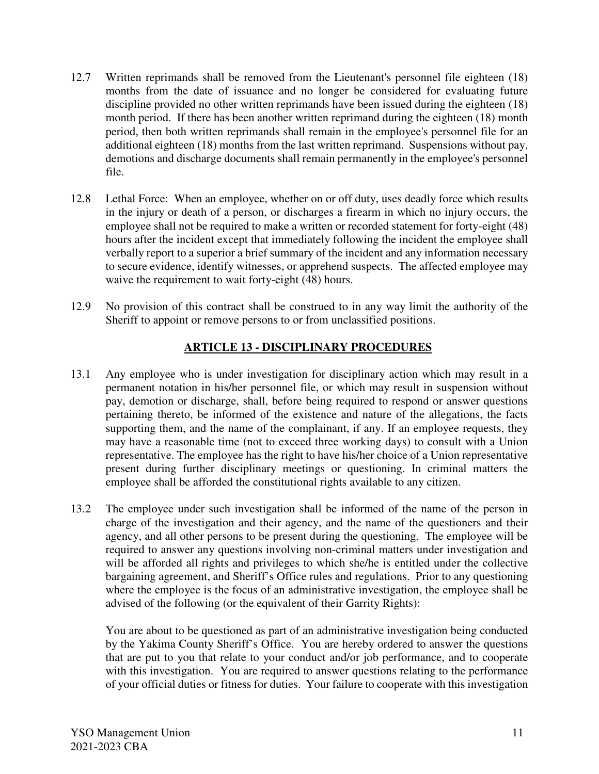- 12.7 Written reprimands shall be removed from the Lieutenant's personnel file eighteen (18) months from the date of issuance and no longer be considered for evaluating future discipline provided no other written reprimands have been issued during the eighteen (18) month period. If there has been another written reprimand during the eighteen (18) month period, then both written reprimands shall remain in the employee's personnel file for an additional eighteen (18) months from the last written reprimand. Suspensions without pay, demotions and discharge documents shall remain permanently in the employee's personnel file.
- 12.8 Lethal Force: When an employee, whether on or off duty, uses deadly force which results in the injury or death of a person, or discharges a firearm in which no injury occurs, the employee shall not be required to make a written or recorded statement for forty-eight (48) hours after the incident except that immediately following the incident the employee shall verbally report to a superior a brief summary of the incident and any information necessary to secure evidence, identify witnesses, or apprehend suspects. The affected employee may waive the requirement to wait forty-eight (48) hours.
- 12.9 No provision of this contract shall be construed to in any way limit the authority of the Sheriff to appoint or remove persons to or from unclassified positions.

# **ARTICLE 13 - DISCIPLINARY PROCEDURES**

- 13.1 Any employee who is under investigation for disciplinary action which may result in a permanent notation in his/her personnel file, or which may result in suspension without pay, demotion or discharge, shall, before being required to respond or answer questions pertaining thereto, be informed of the existence and nature of the allegations, the facts supporting them, and the name of the complainant, if any. If an employee requests, they may have a reasonable time (not to exceed three working days) to consult with a Union representative. The employee has the right to have his/her choice of a Union representative present during further disciplinary meetings or questioning. In criminal matters the employee shall be afforded the constitutional rights available to any citizen.
- 13.2 The employee under such investigation shall be informed of the name of the person in charge of the investigation and their agency, and the name of the questioners and their agency, and all other persons to be present during the questioning. The employee will be required to answer any questions involving non-criminal matters under investigation and will be afforded all rights and privileges to which she/he is entitled under the collective bargaining agreement, and Sheriff's Office rules and regulations. Prior to any questioning where the employee is the focus of an administrative investigation, the employee shall be advised of the following (or the equivalent of their Garrity Rights):

 You are about to be questioned as part of an administrative investigation being conducted by the Yakima County Sheriff's Office. You are hereby ordered to answer the questions that are put to you that relate to your conduct and/or job performance, and to cooperate with this investigation. You are required to answer questions relating to the performance of your official duties or fitness for duties. Your failure to cooperate with this investigation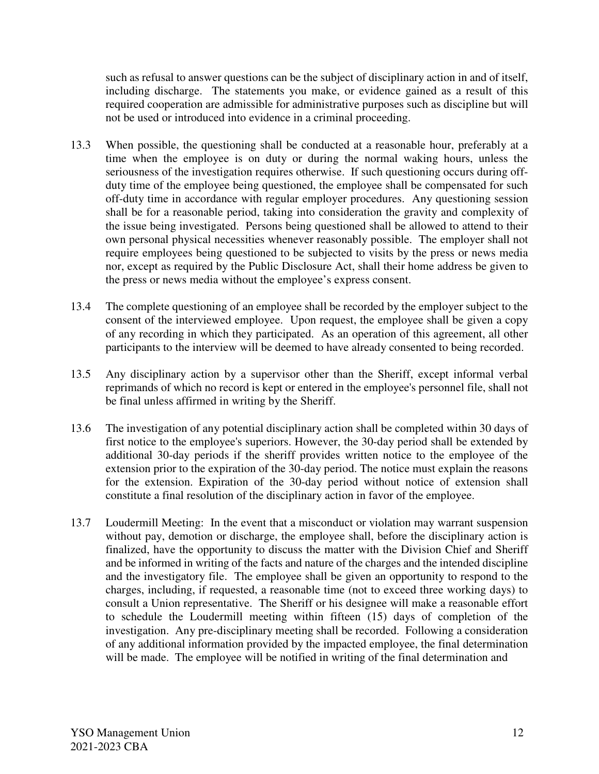such as refusal to answer questions can be the subject of disciplinary action in and of itself, including discharge. The statements you make, or evidence gained as a result of this required cooperation are admissible for administrative purposes such as discipline but will not be used or introduced into evidence in a criminal proceeding.

- 13.3 When possible, the questioning shall be conducted at a reasonable hour, preferably at a time when the employee is on duty or during the normal waking hours, unless the seriousness of the investigation requires otherwise. If such questioning occurs during offduty time of the employee being questioned, the employee shall be compensated for such off-duty time in accordance with regular employer procedures. Any questioning session shall be for a reasonable period, taking into consideration the gravity and complexity of the issue being investigated. Persons being questioned shall be allowed to attend to their own personal physical necessities whenever reasonably possible. The employer shall not require employees being questioned to be subjected to visits by the press or news media nor, except as required by the Public Disclosure Act, shall their home address be given to the press or news media without the employee's express consent.
- 13.4 The complete questioning of an employee shall be recorded by the employer subject to the consent of the interviewed employee. Upon request, the employee shall be given a copy of any recording in which they participated. As an operation of this agreement, all other participants to the interview will be deemed to have already consented to being recorded.
- 13.5 Any disciplinary action by a supervisor other than the Sheriff, except informal verbal reprimands of which no record is kept or entered in the employee's personnel file, shall not be final unless affirmed in writing by the Sheriff.
- 13.6 The investigation of any potential disciplinary action shall be completed within 30 days of first notice to the employee's superiors. However, the 30-day period shall be extended by additional 30-day periods if the sheriff provides written notice to the employee of the extension prior to the expiration of the 30-day period. The notice must explain the reasons for the extension. Expiration of the 30-day period without notice of extension shall constitute a final resolution of the disciplinary action in favor of the employee.
- 13.7 Loudermill Meeting: In the event that a misconduct or violation may warrant suspension without pay, demotion or discharge, the employee shall, before the disciplinary action is finalized, have the opportunity to discuss the matter with the Division Chief and Sheriff and be informed in writing of the facts and nature of the charges and the intended discipline and the investigatory file. The employee shall be given an opportunity to respond to the charges, including, if requested, a reasonable time (not to exceed three working days) to consult a Union representative. The Sheriff or his designee will make a reasonable effort to schedule the Loudermill meeting within fifteen (15) days of completion of the investigation. Any pre-disciplinary meeting shall be recorded. Following a consideration of any additional information provided by the impacted employee, the final determination will be made. The employee will be notified in writing of the final determination and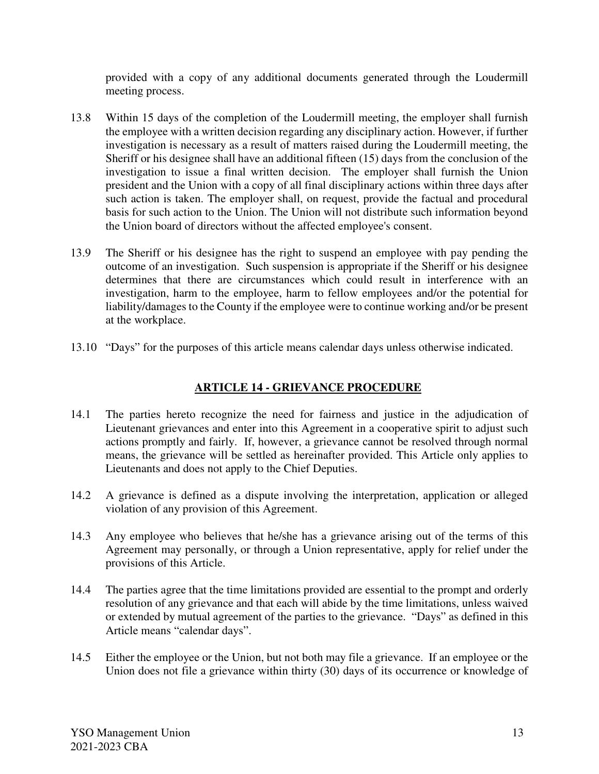provided with a copy of any additional documents generated through the Loudermill meeting process.

- 13.8 Within 15 days of the completion of the Loudermill meeting, the employer shall furnish the employee with a written decision regarding any disciplinary action. However, if further investigation is necessary as a result of matters raised during the Loudermill meeting, the Sheriff or his designee shall have an additional fifteen (15) days from the conclusion of the investigation to issue a final written decision. The employer shall furnish the Union president and the Union with a copy of all final disciplinary actions within three days after such action is taken. The employer shall, on request, provide the factual and procedural basis for such action to the Union. The Union will not distribute such information beyond the Union board of directors without the affected employee's consent.
- 13.9 The Sheriff or his designee has the right to suspend an employee with pay pending the outcome of an investigation. Such suspension is appropriate if the Sheriff or his designee determines that there are circumstances which could result in interference with an investigation, harm to the employee, harm to fellow employees and/or the potential for liability/damages to the County if the employee were to continue working and/or be present at the workplace.
- 13.10 "Days" for the purposes of this article means calendar days unless otherwise indicated.

# **ARTICLE 14 - GRIEVANCE PROCEDURE**

- 14.1 The parties hereto recognize the need for fairness and justice in the adjudication of Lieutenant grievances and enter into this Agreement in a cooperative spirit to adjust such actions promptly and fairly. If, however, a grievance cannot be resolved through normal means, the grievance will be settled as hereinafter provided. This Article only applies to Lieutenants and does not apply to the Chief Deputies.
- 14.2 A grievance is defined as a dispute involving the interpretation, application or alleged violation of any provision of this Agreement.
- 14.3 Any employee who believes that he/she has a grievance arising out of the terms of this Agreement may personally, or through a Union representative, apply for relief under the provisions of this Article.
- 14.4 The parties agree that the time limitations provided are essential to the prompt and orderly resolution of any grievance and that each will abide by the time limitations, unless waived or extended by mutual agreement of the parties to the grievance. "Days" as defined in this Article means "calendar days".
- 14.5 Either the employee or the Union, but not both may file a grievance. If an employee or the Union does not file a grievance within thirty (30) days of its occurrence or knowledge of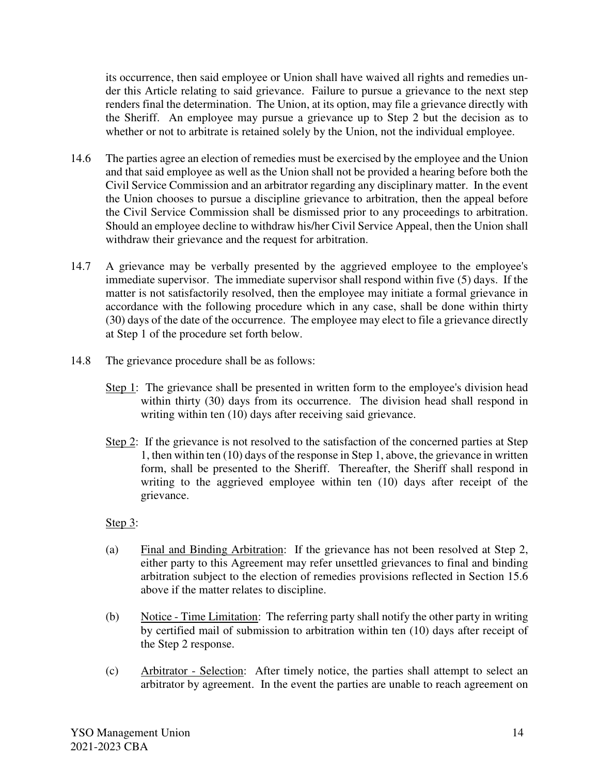its occurrence, then said employee or Union shall have waived all rights and remedies under this Article relating to said grievance. Failure to pursue a grievance to the next step renders final the determination. The Union, at its option, may file a grievance directly with the Sheriff. An employee may pursue a grievance up to Step 2 but the decision as to whether or not to arbitrate is retained solely by the Union, not the individual employee.

- 14.6 The parties agree an election of remedies must be exercised by the employee and the Union and that said employee as well as the Union shall not be provided a hearing before both the Civil Service Commission and an arbitrator regarding any disciplinary matter. In the event the Union chooses to pursue a discipline grievance to arbitration, then the appeal before the Civil Service Commission shall be dismissed prior to any proceedings to arbitration. Should an employee decline to withdraw his/her Civil Service Appeal, then the Union shall withdraw their grievance and the request for arbitration.
- 14.7 A grievance may be verbally presented by the aggrieved employee to the employee's immediate supervisor. The immediate supervisor shall respond within five (5) days. If the matter is not satisfactorily resolved, then the employee may initiate a formal grievance in accordance with the following procedure which in any case, shall be done within thirty (30) days of the date of the occurrence. The employee may elect to file a grievance directly at Step 1 of the procedure set forth below.
- 14.8 The grievance procedure shall be as follows:
	- Step 1: The grievance shall be presented in written form to the employee's division head within thirty (30) days from its occurrence. The division head shall respond in writing within ten (10) days after receiving said grievance.
	- Step 2: If the grievance is not resolved to the satisfaction of the concerned parties at Step 1, then within ten (10) days of the response in Step 1, above, the grievance in written form, shall be presented to the Sheriff. Thereafter, the Sheriff shall respond in writing to the aggrieved employee within ten (10) days after receipt of the grievance.
	- Step 3:
	- (a) Final and Binding Arbitration: If the grievance has not been resolved at Step 2, either party to this Agreement may refer unsettled grievances to final and binding arbitration subject to the election of remedies provisions reflected in Section 15.6 above if the matter relates to discipline.
	- (b) Notice Time Limitation: The referring party shall notify the other party in writing by certified mail of submission to arbitration within ten (10) days after receipt of the Step 2 response.
	- (c) Arbitrator Selection: After timely notice, the parties shall attempt to select an arbitrator by agreement. In the event the parties are unable to reach agreement on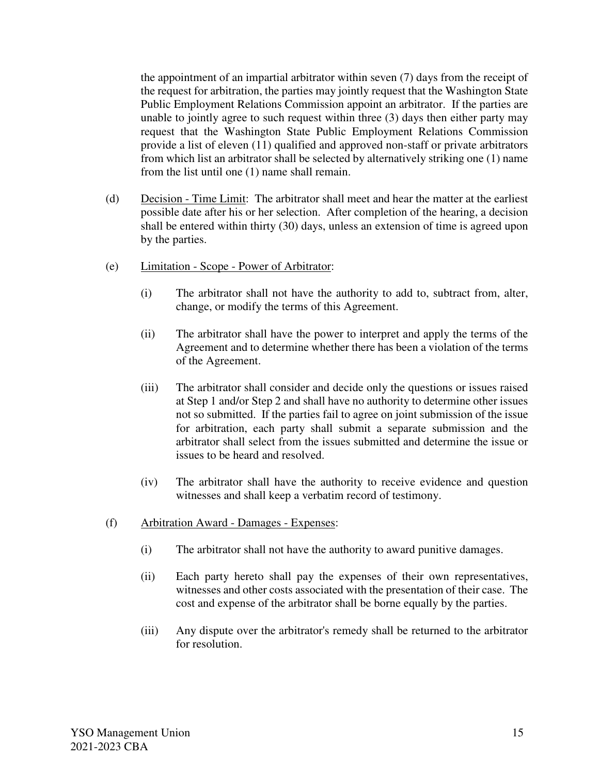the appointment of an impartial arbitrator within seven (7) days from the receipt of the request for arbitration, the parties may jointly request that the Washington State Public Employment Relations Commission appoint an arbitrator. If the parties are unable to jointly agree to such request within three (3) days then either party may request that the Washington State Public Employment Relations Commission provide a list of eleven (11) qualified and approved non-staff or private arbitrators from which list an arbitrator shall be selected by alternatively striking one (1) name from the list until one (1) name shall remain.

- (d) Decision Time Limit: The arbitrator shall meet and hear the matter at the earliest possible date after his or her selection. After completion of the hearing, a decision shall be entered within thirty (30) days, unless an extension of time is agreed upon by the parties.
- (e) Limitation Scope Power of Arbitrator:
	- (i) The arbitrator shall not have the authority to add to, subtract from, alter, change, or modify the terms of this Agreement.
	- (ii) The arbitrator shall have the power to interpret and apply the terms of the Agreement and to determine whether there has been a violation of the terms of the Agreement.
	- (iii) The arbitrator shall consider and decide only the questions or issues raised at Step 1 and/or Step 2 and shall have no authority to determine other issues not so submitted. If the parties fail to agree on joint submission of the issue for arbitration, each party shall submit a separate submission and the arbitrator shall select from the issues submitted and determine the issue or issues to be heard and resolved.
	- (iv) The arbitrator shall have the authority to receive evidence and question witnesses and shall keep a verbatim record of testimony.
- (f) Arbitration Award Damages Expenses:
	- (i) The arbitrator shall not have the authority to award punitive damages.
	- (ii) Each party hereto shall pay the expenses of their own representatives, witnesses and other costs associated with the presentation of their case. The cost and expense of the arbitrator shall be borne equally by the parties.
	- (iii) Any dispute over the arbitrator's remedy shall be returned to the arbitrator for resolution.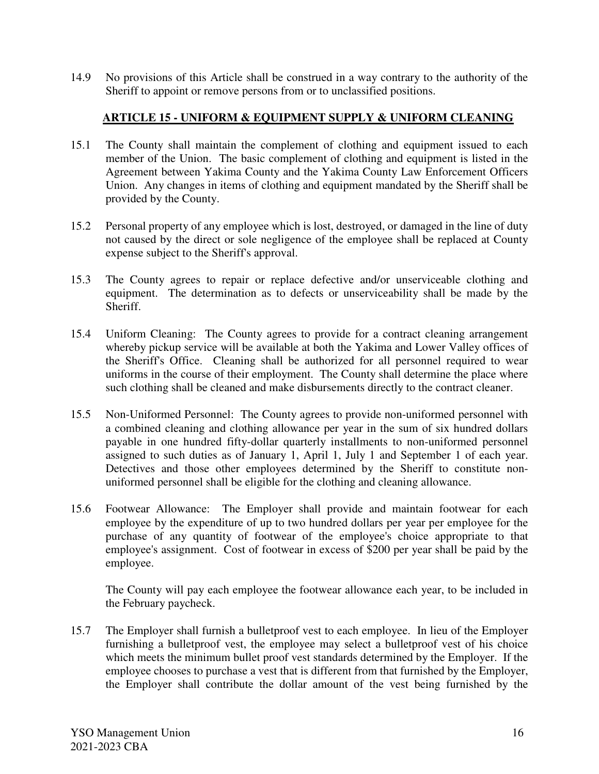14.9 No provisions of this Article shall be construed in a way contrary to the authority of the Sheriff to appoint or remove persons from or to unclassified positions.

## **ARTICLE 15 - UNIFORM & EQUIPMENT SUPPLY & UNIFORM CLEANING**

- 15.1 The County shall maintain the complement of clothing and equipment issued to each member of the Union. The basic complement of clothing and equipment is listed in the Agreement between Yakima County and the Yakima County Law Enforcement Officers Union. Any changes in items of clothing and equipment mandated by the Sheriff shall be provided by the County.
- 15.2 Personal property of any employee which is lost, destroyed, or damaged in the line of duty not caused by the direct or sole negligence of the employee shall be replaced at County expense subject to the Sheriff's approval.
- 15.3 The County agrees to repair or replace defective and/or unserviceable clothing and equipment. The determination as to defects or unserviceability shall be made by the Sheriff.
- 15.4 Uniform Cleaning: The County agrees to provide for a contract cleaning arrangement whereby pickup service will be available at both the Yakima and Lower Valley offices of the Sheriff's Office. Cleaning shall be authorized for all personnel required to wear uniforms in the course of their employment. The County shall determine the place where such clothing shall be cleaned and make disbursements directly to the contract cleaner.
- 15.5 Non-Uniformed Personnel: The County agrees to provide non-uniformed personnel with a combined cleaning and clothing allowance per year in the sum of six hundred dollars payable in one hundred fifty-dollar quarterly installments to non-uniformed personnel assigned to such duties as of January 1, April 1, July 1 and September 1 of each year. Detectives and those other employees determined by the Sheriff to constitute nonuniformed personnel shall be eligible for the clothing and cleaning allowance.
- 15.6 Footwear Allowance: The Employer shall provide and maintain footwear for each employee by the expenditure of up to two hundred dollars per year per employee for the purchase of any quantity of footwear of the employee's choice appropriate to that employee's assignment. Cost of footwear in excess of \$200 per year shall be paid by the employee.

 The County will pay each employee the footwear allowance each year, to be included in the February paycheck.

15.7 The Employer shall furnish a bulletproof vest to each employee. In lieu of the Employer furnishing a bulletproof vest, the employee may select a bulletproof vest of his choice which meets the minimum bullet proof vest standards determined by the Employer. If the employee chooses to purchase a vest that is different from that furnished by the Employer, the Employer shall contribute the dollar amount of the vest being furnished by the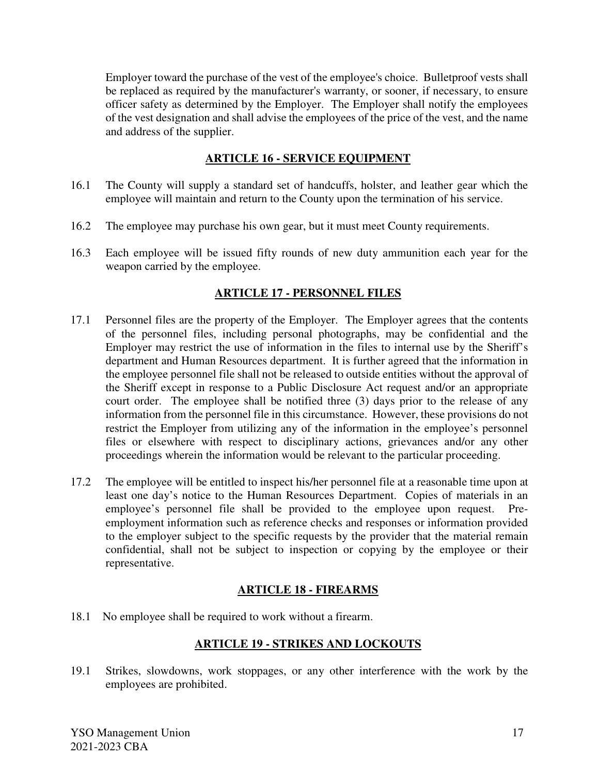Employer toward the purchase of the vest of the employee's choice. Bulletproof vests shall be replaced as required by the manufacturer's warranty, or sooner, if necessary, to ensure officer safety as determined by the Employer. The Employer shall notify the employees of the vest designation and shall advise the employees of the price of the vest, and the name and address of the supplier.

## **ARTICLE 16 - SERVICE EQUIPMENT**

- 16.1 The County will supply a standard set of handcuffs, holster, and leather gear which the employee will maintain and return to the County upon the termination of his service.
- 16.2 The employee may purchase his own gear, but it must meet County requirements.
- 16.3 Each employee will be issued fifty rounds of new duty ammunition each year for the weapon carried by the employee.

## **ARTICLE 17 - PERSONNEL FILES**

- 17.1 Personnel files are the property of the Employer. The Employer agrees that the contents of the personnel files, including personal photographs, may be confidential and the Employer may restrict the use of information in the files to internal use by the Sheriff's department and Human Resources department. It is further agreed that the information in the employee personnel file shall not be released to outside entities without the approval of the Sheriff except in response to a Public Disclosure Act request and/or an appropriate court order. The employee shall be notified three (3) days prior to the release of any information from the personnel file in this circumstance. However, these provisions do not restrict the Employer from utilizing any of the information in the employee's personnel files or elsewhere with respect to disciplinary actions, grievances and/or any other proceedings wherein the information would be relevant to the particular proceeding.
- 17.2 The employee will be entitled to inspect his/her personnel file at a reasonable time upon at least one day's notice to the Human Resources Department. Copies of materials in an employee's personnel file shall be provided to the employee upon request. Preemployment information such as reference checks and responses or information provided to the employer subject to the specific requests by the provider that the material remain confidential, shall not be subject to inspection or copying by the employee or their representative.

### **ARTICLE 18 - FIREARMS**

18.1 No employee shall be required to work without a firearm.

### **ARTICLE 19 - STRIKES AND LOCKOUTS**

19.1 Strikes, slowdowns, work stoppages, or any other interference with the work by the employees are prohibited.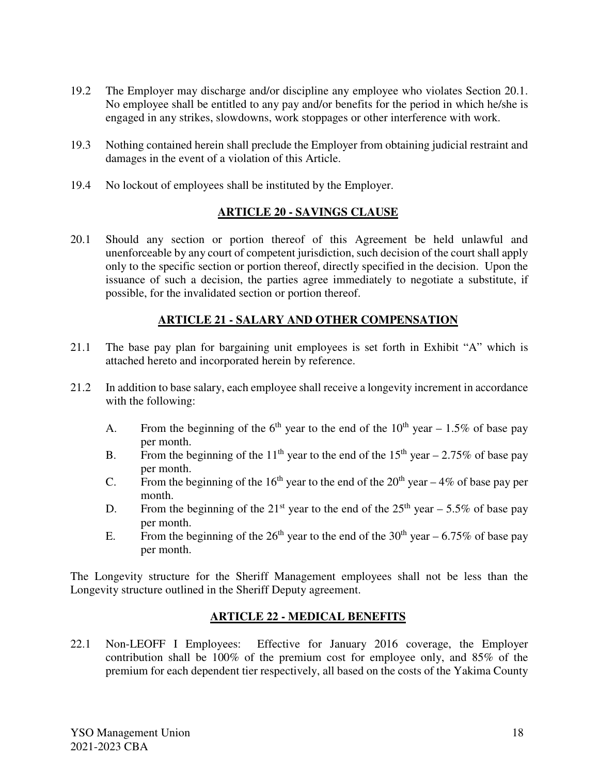- 19.2 The Employer may discharge and/or discipline any employee who violates Section 20.1. No employee shall be entitled to any pay and/or benefits for the period in which he/she is engaged in any strikes, slowdowns, work stoppages or other interference with work.
- 19.3 Nothing contained herein shall preclude the Employer from obtaining judicial restraint and damages in the event of a violation of this Article.
- 19.4 No lockout of employees shall be instituted by the Employer.

### **ARTICLE 20 - SAVINGS CLAUSE**

20.1 Should any section or portion thereof of this Agreement be held unlawful and unenforceable by any court of competent jurisdiction, such decision of the court shall apply only to the specific section or portion thereof, directly specified in the decision. Upon the issuance of such a decision, the parties agree immediately to negotiate a substitute, if possible, for the invalidated section or portion thereof.

### **ARTICLE 21 - SALARY AND OTHER COMPENSATION**

- 21.1 The base pay plan for bargaining unit employees is set forth in Exhibit "A" which is attached hereto and incorporated herein by reference.
- 21.2 In addition to base salary, each employee shall receive a longevity increment in accordance with the following:
	- A. From the beginning of the  $6<sup>th</sup>$  year to the end of the  $10<sup>th</sup>$  year 1.5% of base pay per month.
	- B. From the beginning of the 11<sup>th</sup> year to the end of the 15<sup>th</sup> year 2.75% of base pay per month.
	- C. From the beginning of the 16<sup>th</sup> year to the end of the 20<sup>th</sup> year 4% of base pay per month.
	- D. From the beginning of the  $21^{st}$  year to the end of the  $25^{th}$  year 5.5% of base pay per month.
	- E. From the beginning of the 26<sup>th</sup> year to the end of the 30<sup>th</sup> year 6.75% of base pay per month.

The Longevity structure for the Sheriff Management employees shall not be less than the Longevity structure outlined in the Sheriff Deputy agreement.

### **ARTICLE 22 - MEDICAL BENEFITS**

22.1 Non-LEOFF I Employees: Effective for January 2016 coverage, the Employer contribution shall be 100% of the premium cost for employee only, and 85% of the premium for each dependent tier respectively, all based on the costs of the Yakima County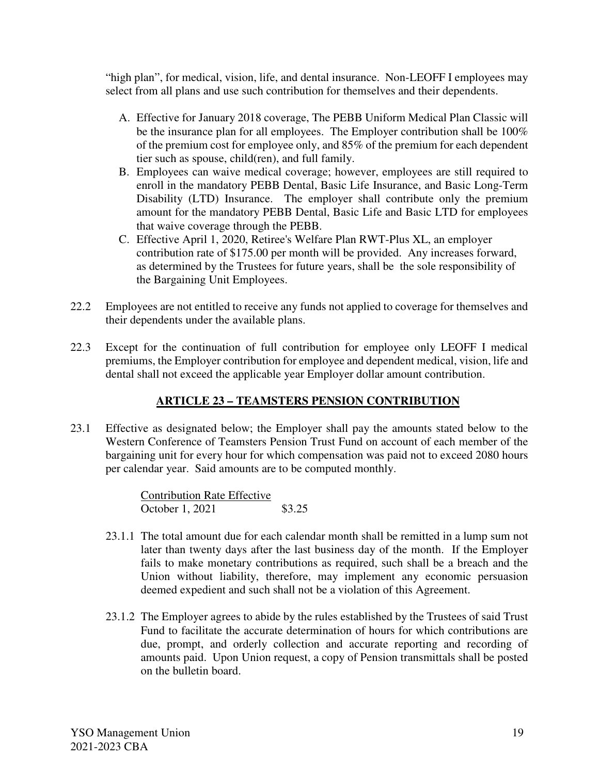"high plan", for medical, vision, life, and dental insurance. Non-LEOFF I employees may select from all plans and use such contribution for themselves and their dependents.

- A. Effective for January 2018 coverage, The PEBB Uniform Medical Plan Classic will be the insurance plan for all employees. The Employer contribution shall be 100% of the premium cost for employee only, and 85% of the premium for each dependent tier such as spouse, child(ren), and full family.
- B. Employees can waive medical coverage; however, employees are still required to enroll in the mandatory PEBB Dental, Basic Life Insurance, and Basic Long-Term Disability (LTD) Insurance. The employer shall contribute only the premium amount for the mandatory PEBB Dental, Basic Life and Basic LTD for employees that waive coverage through the PEBB.
- C. Effective April 1, 2020, Retiree's Welfare Plan RWT-Plus XL, an employer contribution rate of \$175.00 per month will be provided. Any increases forward, as determined by the Trustees for future years, shall be the sole responsibility of the Bargaining Unit Employees.
- 22.2 Employees are not entitled to receive any funds not applied to coverage for themselves and their dependents under the available plans.
- 22.3 Except for the continuation of full contribution for employee only LEOFF I medical premiums, the Employer contribution for employee and dependent medical, vision, life and dental shall not exceed the applicable year Employer dollar amount contribution.

# **ARTICLE 23 – TEAMSTERS PENSION CONTRIBUTION**

23.1 Effective as designated below; the Employer shall pay the amounts stated below to the Western Conference of Teamsters Pension Trust Fund on account of each member of the bargaining unit for every hour for which compensation was paid not to exceed 2080 hours per calendar year. Said amounts are to be computed monthly.

> Contribution Rate Effective October 1, 2021 \$3.25

- 23.1.1 The total amount due for each calendar month shall be remitted in a lump sum not later than twenty days after the last business day of the month. If the Employer fails to make monetary contributions as required, such shall be a breach and the Union without liability, therefore, may implement any economic persuasion deemed expedient and such shall not be a violation of this Agreement.
- 23.1.2 The Employer agrees to abide by the rules established by the Trustees of said Trust Fund to facilitate the accurate determination of hours for which contributions are due, prompt, and orderly collection and accurate reporting and recording of amounts paid. Upon Union request, a copy of Pension transmittals shall be posted on the bulletin board.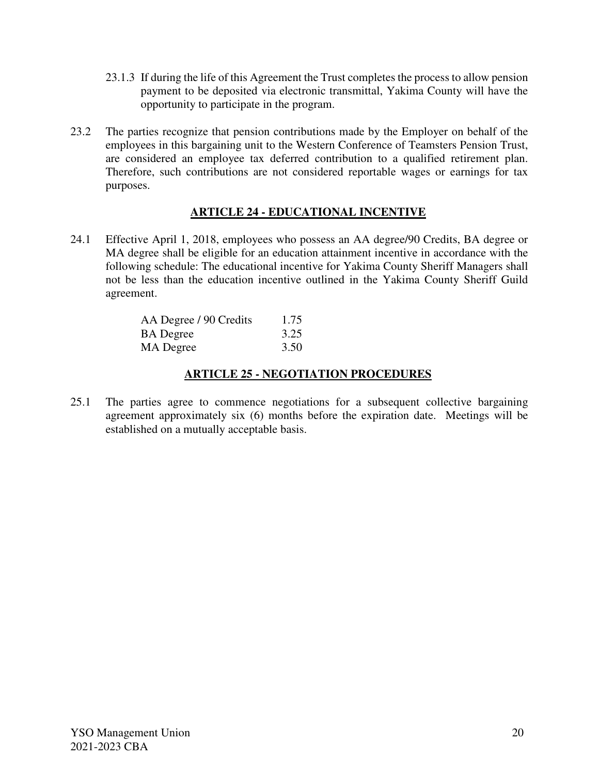- 23.1.3 If during the life of this Agreement the Trust completes the process to allow pension payment to be deposited via electronic transmittal, Yakima County will have the opportunity to participate in the program.
- 23.2 The parties recognize that pension contributions made by the Employer on behalf of the employees in this bargaining unit to the Western Conference of Teamsters Pension Trust, are considered an employee tax deferred contribution to a qualified retirement plan. Therefore, such contributions are not considered reportable wages or earnings for tax purposes.

## **ARTICLE 24 - EDUCATIONAL INCENTIVE**

24.1 Effective April 1, 2018, employees who possess an AA degree/90 Credits, BA degree or MA degree shall be eligible for an education attainment incentive in accordance with the following schedule: The educational incentive for Yakima County Sheriff Managers shall not be less than the education incentive outlined in the Yakima County Sheriff Guild agreement.

| AA Degree / 90 Credits | 1.75 |
|------------------------|------|
| <b>BA</b> Degree       | 3.25 |
| MA Degree              | 3.50 |

## **ARTICLE 25 - NEGOTIATION PROCEDURES**

25.1 The parties agree to commence negotiations for a subsequent collective bargaining agreement approximately six (6) months before the expiration date. Meetings will be established on a mutually acceptable basis.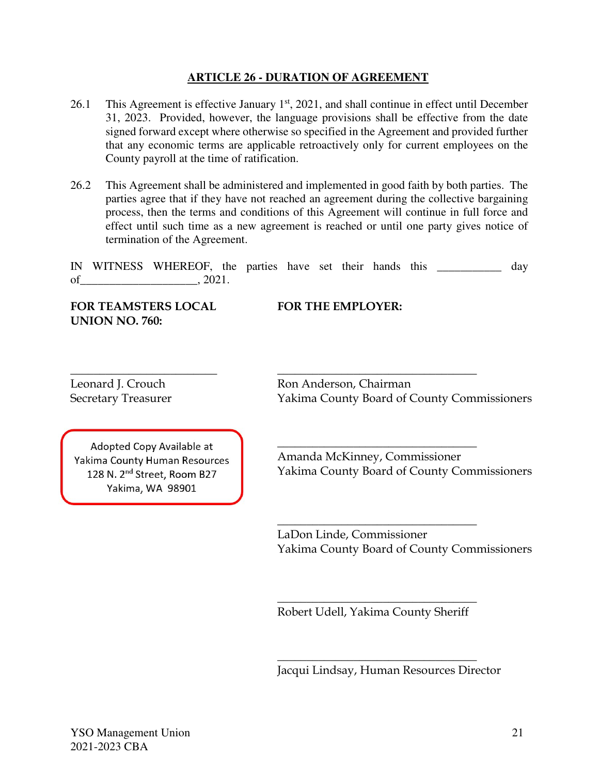#### **ARTICLE 26 - DURATION OF AGREEMENT**

- 26.1 This Agreement is effective January  $1<sup>st</sup>$ , 2021, and shall continue in effect until December 31, 2023. Provided, however, the language provisions shall be effective from the date signed forward except where otherwise so specified in the Agreement and provided further that any economic terms are applicable retroactively only for current employees on the County payroll at the time of ratification.
- 26.2 This Agreement shall be administered and implemented in good faith by both parties. The parties agree that if they have not reached an agreement during the collective bargaining process, then the terms and conditions of this Agreement will continue in full force and effect until such time as a new agreement is reached or until one party gives notice of termination of the Agreement.

|    | IN WITNESS WHEREOF, the parties have set their hands this |  |  |  |  | dav |
|----|-----------------------------------------------------------|--|--|--|--|-----|
| of | 2021.                                                     |  |  |  |  |     |

**FOR TEAMSTERS LOCAL FOR THE EMPLOYER: UNION NO. 760:**

Adopted Copy Available at Yakima County Human Resources 128 N. 2<sup>nd</sup> Street, Room B27 Yakima, WA 98901

\_\_\_\_\_\_\_\_\_\_\_\_\_\_\_\_\_\_\_\_\_\_\_\_\_ \_\_\_\_\_\_\_\_\_\_\_\_\_\_\_\_\_\_\_\_\_\_\_\_\_\_\_\_\_\_\_\_\_\_ Leonard J. Crouch Ron Anderson, Chairman Secretary Treasurer Yakima County Board of County Commissioners

> Amanda McKinney, Commissioner Yakima County Board of County Commissioners

\_\_\_\_\_\_\_\_\_\_\_\_\_\_\_\_\_\_\_\_\_\_\_\_\_\_\_\_\_\_\_\_\_\_

 $\_$ 

LaDon Linde, Commissioner Yakima County Board of County Commissioners

 $\_$ Robert Udell, Yakima County Sheriff

 $\_$ 

Jacqui Lindsay, Human Resources Director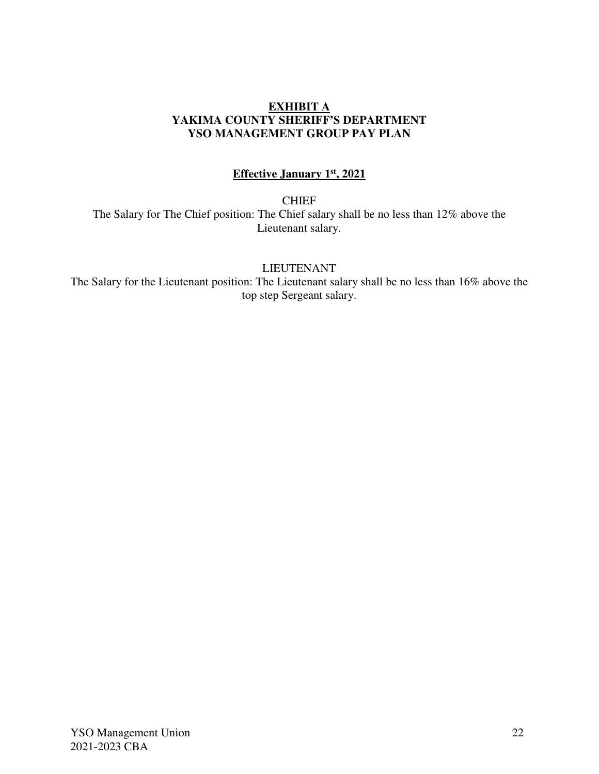#### **EXHIBIT A YAKIMA COUNTY SHERIFF'S DEPARTMENT YSO MANAGEMENT GROUP PAY PLAN**

# **Effective January 1st, 2021**

**CHIEF** 

The Salary for The Chief position: The Chief salary shall be no less than 12% above the Lieutenant salary.

LIEUTENANT

The Salary for the Lieutenant position: The Lieutenant salary shall be no less than 16% above the top step Sergeant salary.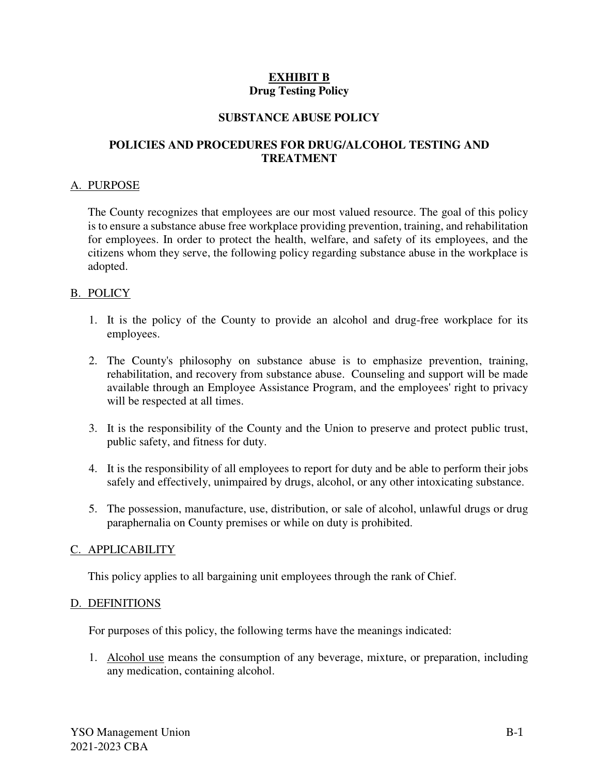## **EXHIBIT B Drug Testing Policy**

#### **SUBSTANCE ABUSE POLICY**

### **POLICIES AND PROCEDURES FOR DRUG/ALCOHOL TESTING AND TREATMENT**

#### A. PURPOSE

The County recognizes that employees are our most valued resource. The goal of this policy is to ensure a substance abuse free workplace providing prevention, training, and rehabilitation for employees. In order to protect the health, welfare, and safety of its employees, and the citizens whom they serve, the following policy regarding substance abuse in the workplace is adopted.

#### B. POLICY

- 1. It is the policy of the County to provide an alcohol and drug-free workplace for its employees.
- 2. The County's philosophy on substance abuse is to emphasize prevention, training, rehabilitation, and recovery from substance abuse. Counseling and support will be made available through an Employee Assistance Program, and the employees' right to privacy will be respected at all times.
- 3. It is the responsibility of the County and the Union to preserve and protect public trust, public safety, and fitness for duty.
- 4. It is the responsibility of all employees to report for duty and be able to perform their jobs safely and effectively, unimpaired by drugs, alcohol, or any other intoxicating substance.
- 5. The possession, manufacture, use, distribution, or sale of alcohol, unlawful drugs or drug paraphernalia on County premises or while on duty is prohibited.

#### C. APPLICABILITY

This policy applies to all bargaining unit employees through the rank of Chief.

#### D. DEFINITIONS

For purposes of this policy, the following terms have the meanings indicated:

1. Alcohol use means the consumption of any beverage, mixture, or preparation, including any medication, containing alcohol.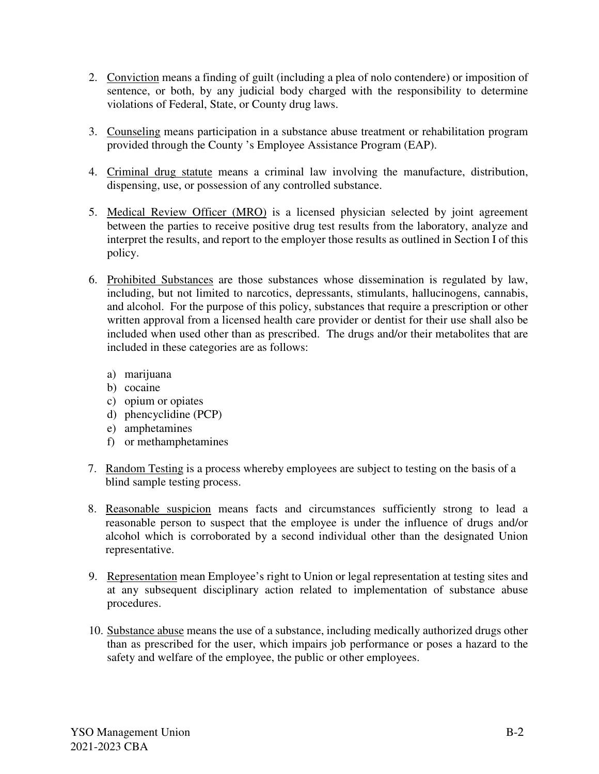- 2. Conviction means a finding of guilt (including a plea of nolo contendere) or imposition of sentence, or both, by any judicial body charged with the responsibility to determine violations of Federal, State, or County drug laws.
- 3. Counseling means participation in a substance abuse treatment or rehabilitation program provided through the County 's Employee Assistance Program (EAP).
- 4. Criminal drug statute means a criminal law involving the manufacture, distribution, dispensing, use, or possession of any controlled substance.
- 5. Medical Review Officer (MRO) is a licensed physician selected by joint agreement between the parties to receive positive drug test results from the laboratory, analyze and interpret the results, and report to the employer those results as outlined in Section I of this policy.
- 6. Prohibited Substances are those substances whose dissemination is regulated by law, including, but not limited to narcotics, depressants, stimulants, hallucinogens, cannabis, and alcohol. For the purpose of this policy, substances that require a prescription or other written approval from a licensed health care provider or dentist for their use shall also be included when used other than as prescribed. The drugs and/or their metabolites that are included in these categories are as follows:
	- a) marijuana
	- b) cocaine
	- c) opium or opiates
	- d) phencyclidine (PCP)
	- e) amphetamines
	- f) or methamphetamines
- 7. Random Testing is a process whereby employees are subject to testing on the basis of a blind sample testing process.
- 8. Reasonable suspicion means facts and circumstances sufficiently strong to lead a reasonable person to suspect that the employee is under the influence of drugs and/or alcohol which is corroborated by a second individual other than the designated Union representative.
- 9. Representation mean Employee's right to Union or legal representation at testing sites and at any subsequent disciplinary action related to implementation of substance abuse procedures.
- 10. Substance abuse means the use of a substance, including medically authorized drugs other than as prescribed for the user, which impairs job performance or poses a hazard to the safety and welfare of the employee, the public or other employees.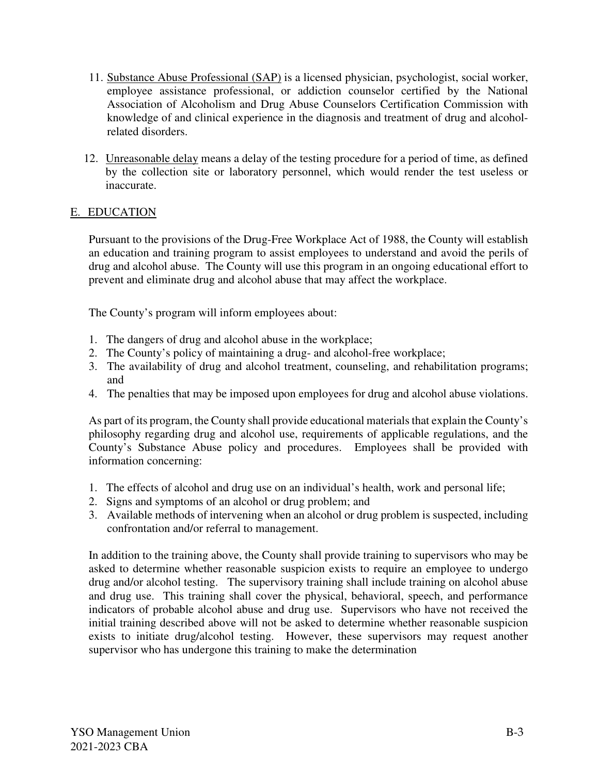- 11. Substance Abuse Professional (SAP) is a licensed physician, psychologist, social worker, employee assistance professional, or addiction counselor certified by the National Association of Alcoholism and Drug Abuse Counselors Certification Commission with knowledge of and clinical experience in the diagnosis and treatment of drug and alcoholrelated disorders.
- 12. Unreasonable delay means a delay of the testing procedure for a period of time, as defined by the collection site or laboratory personnel, which would render the test useless or inaccurate.

## E. EDUCATION

 Pursuant to the provisions of the Drug-Free Workplace Act of 1988, the County will establish an education and training program to assist employees to understand and avoid the perils of drug and alcohol abuse. The County will use this program in an ongoing educational effort to prevent and eliminate drug and alcohol abuse that may affect the workplace.

The County's program will inform employees about:

- 1. The dangers of drug and alcohol abuse in the workplace;
- 2. The County's policy of maintaining a drug- and alcohol-free workplace;
- 3. The availability of drug and alcohol treatment, counseling, and rehabilitation programs; and
- 4. The penalties that may be imposed upon employees for drug and alcohol abuse violations.

As part of its program, the County shall provide educational materials that explain the County's philosophy regarding drug and alcohol use, requirements of applicable regulations, and the County's Substance Abuse policy and procedures. Employees shall be provided with information concerning:

- 1. The effects of alcohol and drug use on an individual's health, work and personal life;
- 2. Signs and symptoms of an alcohol or drug problem; and
- 3. Available methods of intervening when an alcohol or drug problem is suspected, including confrontation and/or referral to management.

In addition to the training above, the County shall provide training to supervisors who may be asked to determine whether reasonable suspicion exists to require an employee to undergo drug and/or alcohol testing. The supervisory training shall include training on alcohol abuse and drug use. This training shall cover the physical, behavioral, speech, and performance indicators of probable alcohol abuse and drug use. Supervisors who have not received the initial training described above will not be asked to determine whether reasonable suspicion exists to initiate drug/alcohol testing. However, these supervisors may request another supervisor who has undergone this training to make the determination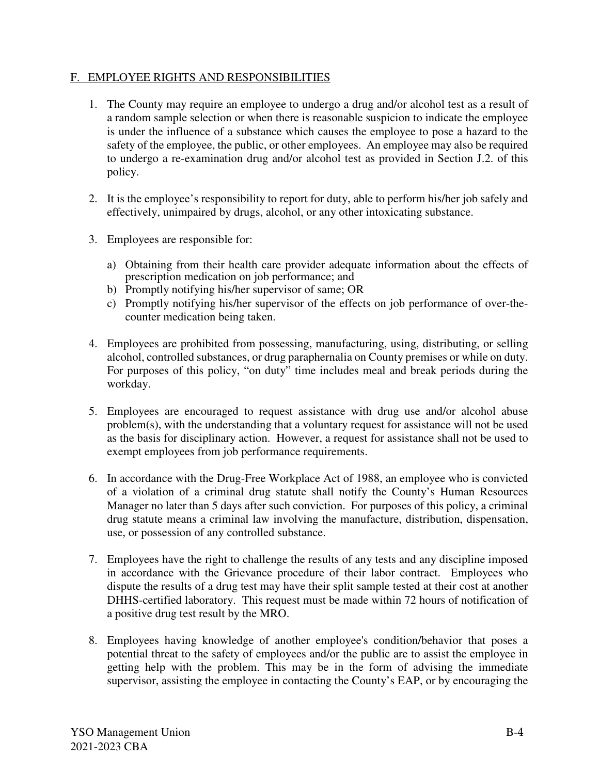### F. EMPLOYEE RIGHTS AND RESPONSIBILITIES

- 1. The County may require an employee to undergo a drug and/or alcohol test as a result of a random sample selection or when there is reasonable suspicion to indicate the employee is under the influence of a substance which causes the employee to pose a hazard to the safety of the employee, the public, or other employees. An employee may also be required to undergo a re-examination drug and/or alcohol test as provided in Section J.2. of this policy.
- 2. It is the employee's responsibility to report for duty, able to perform his/her job safely and effectively, unimpaired by drugs, alcohol, or any other intoxicating substance.
- 3. Employees are responsible for:
	- a) Obtaining from their health care provider adequate information about the effects of prescription medication on job performance; and
	- b) Promptly notifying his/her supervisor of same; OR
	- c) Promptly notifying his/her supervisor of the effects on job performance of over-thecounter medication being taken.
- 4. Employees are prohibited from possessing, manufacturing, using, distributing, or selling alcohol, controlled substances, or drug paraphernalia on County premises or while on duty. For purposes of this policy, "on duty" time includes meal and break periods during the workday.
- 5. Employees are encouraged to request assistance with drug use and/or alcohol abuse problem(s), with the understanding that a voluntary request for assistance will not be used as the basis for disciplinary action. However, a request for assistance shall not be used to exempt employees from job performance requirements.
- 6. In accordance with the Drug-Free Workplace Act of 1988, an employee who is convicted of a violation of a criminal drug statute shall notify the County's Human Resources Manager no later than 5 days after such conviction. For purposes of this policy, a criminal drug statute means a criminal law involving the manufacture, distribution, dispensation, use, or possession of any controlled substance.
- 7. Employees have the right to challenge the results of any tests and any discipline imposed in accordance with the Grievance procedure of their labor contract. Employees who dispute the results of a drug test may have their split sample tested at their cost at another DHHS-certified laboratory. This request must be made within 72 hours of notification of a positive drug test result by the MRO.
- 8. Employees having knowledge of another employee's condition/behavior that poses a potential threat to the safety of employees and/or the public are to assist the employee in getting help with the problem. This may be in the form of advising the immediate supervisor, assisting the employee in contacting the County's EAP, or by encouraging the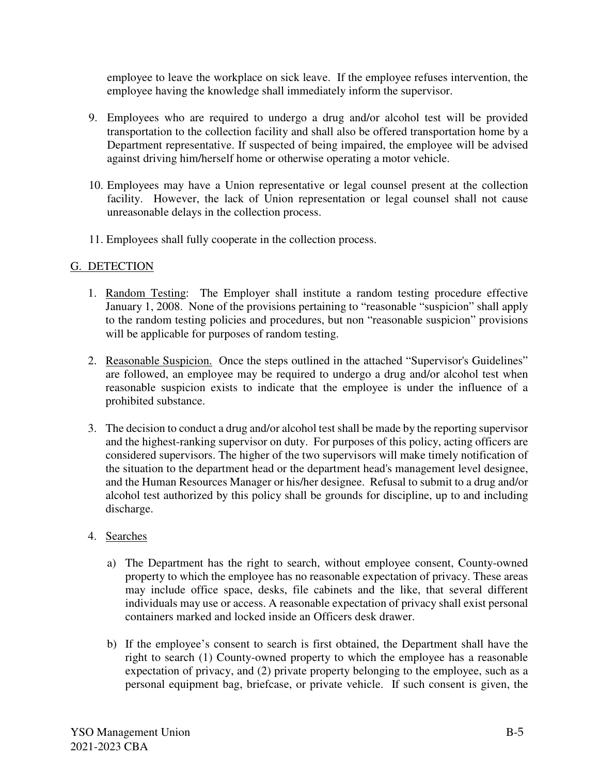employee to leave the workplace on sick leave. If the employee refuses intervention, the employee having the knowledge shall immediately inform the supervisor.

- 9. Employees who are required to undergo a drug and/or alcohol test will be provided transportation to the collection facility and shall also be offered transportation home by a Department representative. If suspected of being impaired, the employee will be advised against driving him/herself home or otherwise operating a motor vehicle.
- 10. Employees may have a Union representative or legal counsel present at the collection facility. However, the lack of Union representation or legal counsel shall not cause unreasonable delays in the collection process.
- 11. Employees shall fully cooperate in the collection process.

### G. DETECTION

- 1. Random Testing: The Employer shall institute a random testing procedure effective January 1, 2008. None of the provisions pertaining to "reasonable "suspicion" shall apply to the random testing policies and procedures, but non "reasonable suspicion" provisions will be applicable for purposes of random testing.
- 2. Reasonable Suspicion. Once the steps outlined in the attached "Supervisor's Guidelines" are followed, an employee may be required to undergo a drug and/or alcohol test when reasonable suspicion exists to indicate that the employee is under the influence of a prohibited substance.
- 3. The decision to conduct a drug and/or alcohol test shall be made by the reporting supervisor and the highest-ranking supervisor on duty. For purposes of this policy, acting officers are considered supervisors. The higher of the two supervisors will make timely notification of the situation to the department head or the department head's management level designee, and the Human Resources Manager or his/her designee. Refusal to submit to a drug and/or alcohol test authorized by this policy shall be grounds for discipline, up to and including discharge.

#### 4. Searches

- a) The Department has the right to search, without employee consent, County-owned property to which the employee has no reasonable expectation of privacy. These areas may include office space, desks, file cabinets and the like, that several different individuals may use or access. A reasonable expectation of privacy shall exist personal containers marked and locked inside an Officers desk drawer.
- b) If the employee's consent to search is first obtained, the Department shall have the right to search (1) County-owned property to which the employee has a reasonable expectation of privacy, and (2) private property belonging to the employee, such as a personal equipment bag, briefcase, or private vehicle. If such consent is given, the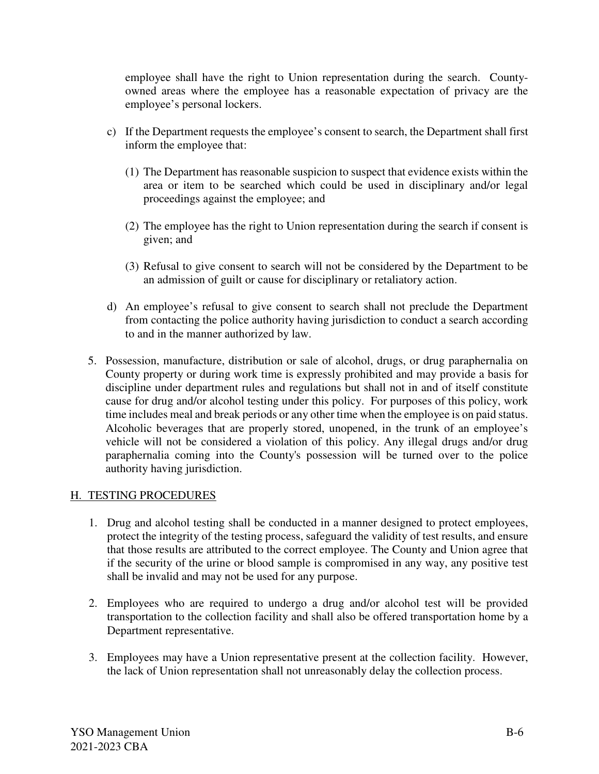employee shall have the right to Union representation during the search. Countyowned areas where the employee has a reasonable expectation of privacy are the employee's personal lockers.

- c) If the Department requests the employee's consent to search, the Department shall first inform the employee that:
	- (1) The Department has reasonable suspicion to suspect that evidence exists within the area or item to be searched which could be used in disciplinary and/or legal proceedings against the employee; and
	- (2) The employee has the right to Union representation during the search if consent is given; and
	- (3) Refusal to give consent to search will not be considered by the Department to be an admission of guilt or cause for disciplinary or retaliatory action.
- d) An employee's refusal to give consent to search shall not preclude the Department from contacting the police authority having jurisdiction to conduct a search according to and in the manner authorized by law.
- 5. Possession, manufacture, distribution or sale of alcohol, drugs, or drug paraphernalia on County property or during work time is expressly prohibited and may provide a basis for discipline under department rules and regulations but shall not in and of itself constitute cause for drug and/or alcohol testing under this policy. For purposes of this policy, work time includes meal and break periods or any other time when the employee is on paid status. Alcoholic beverages that are properly stored, unopened, in the trunk of an employee's vehicle will not be considered a violation of this policy. Any illegal drugs and/or drug paraphernalia coming into the County's possession will be turned over to the police authority having jurisdiction.

### H. TESTING PROCEDURES

- 1. Drug and alcohol testing shall be conducted in a manner designed to protect employees, protect the integrity of the testing process, safeguard the validity of test results, and ensure that those results are attributed to the correct employee. The County and Union agree that if the security of the urine or blood sample is compromised in any way, any positive test shall be invalid and may not be used for any purpose.
- 2. Employees who are required to undergo a drug and/or alcohol test will be provided transportation to the collection facility and shall also be offered transportation home by a Department representative.
- 3. Employees may have a Union representative present at the collection facility. However, the lack of Union representation shall not unreasonably delay the collection process.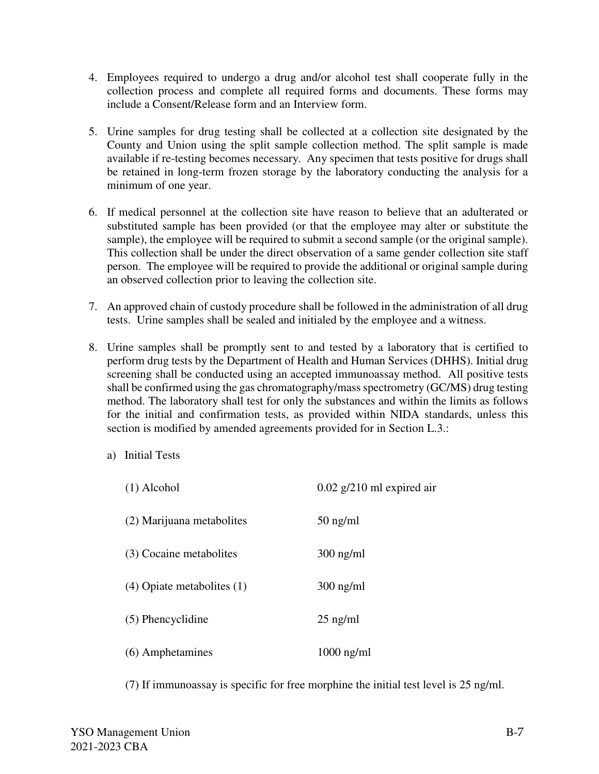- 4. Employees required to undergo a drug and/or alcohol test shall cooperate fully in the collection process and complete all required forms and documents. These forms may include a Consent/Release form and an Interview form.
- 5. Urine samples for drug testing shall be collected at a collection site designated by the County and Union using the split sample collection method. The split sample is made available if re-testing becomes necessary. Any specimen that tests positive for drugs shall be retained in long-term frozen storage by the laboratory conducting the analysis for a minimum of one year.
- 6. If medical personnel at the collection site have reason to believe that an adulterated or substituted sample has been provided (or that the employee may alter or substitute the sample), the employee will be required to submit a second sample (or the original sample). This collection shall be under the direct observation of a same gender collection site staff person. The employee will be required to provide the additional or original sample during an observed collection prior to leaving the collection site.
- 7. An approved chain of custody procedure shall be followed in the administration of all drug tests. Urine samples shall be sealed and initialed by the employee and a witness.
- 8. Urine samples shall be promptly sent to and tested by a laboratory that is certified to perform drug tests by the Department of Health and Human Services (DHHS). Initial drug screening shall be conducted using an accepted immunoassay method. All positive tests shall be confirmed using the gas chromatography/mass spectrometry (GC/MS) drug testing method. The laboratory shall test for only the substances and within the limits as follows for the initial and confirmation tests, as provided within NIDA standards, unless this section is modified by amended agreements provided for in Section L.3.:
	- a) Initial Tests

| $(1)$ Alcohol                  | $0.02$ g/210 ml expired air |
|--------------------------------|-----------------------------|
| (2) Marijuana metabolites      | $50$ ng/ml                  |
| (3) Cocaine metabolites        | $300$ ng/ml                 |
| $(4)$ Opiate metabolites $(1)$ | $300$ ng/ml                 |
| (5) Phencyclidine              | $25$ ng/ml                  |
| (6) Amphetamines               | $1000$ ng/ml                |

(7) If immunoassay is specific for free morphine the initial test level is 25 ng/ml.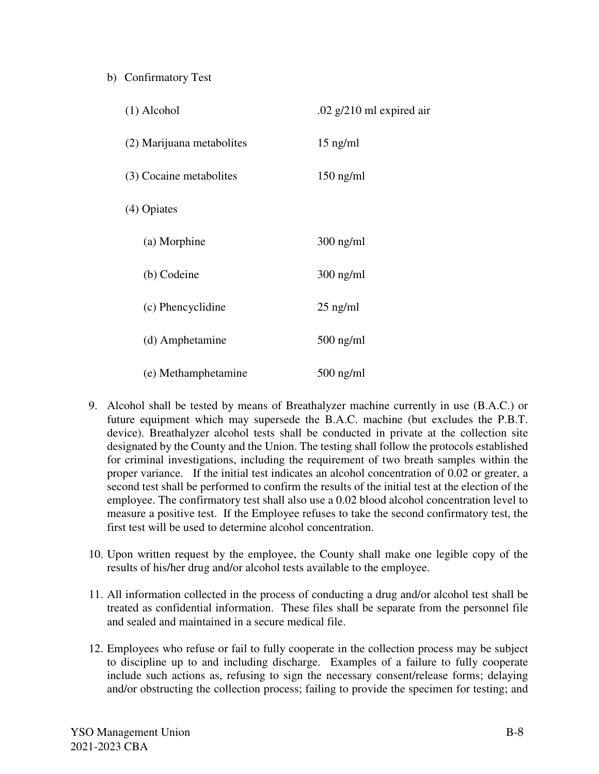### b) Confirmatory Test

| $(1)$ Alcohol             | .02 $g/210$ ml expired air |
|---------------------------|----------------------------|
| (2) Marijuana metabolites | $15$ ng/ml                 |
| (3) Cocaine metabolites   | $150$ ng/ml                |
| (4) Opiates               |                            |
| (a) Morphine              | $300$ ng/ml                |
| (b) Codeine               | $300$ ng/ml                |
| (c) Phencyclidine         | $25$ ng/ml                 |
| (d) Amphetamine           | $500$ ng/ml                |
| (e) Methamphetamine       | $500$ ng/ml                |

- 9. Alcohol shall be tested by means of Breathalyzer machine currently in use (B.A.C.) or future equipment which may supersede the B.A.C. machine (but excludes the P.B.T. device). Breathalyzer alcohol tests shall be conducted in private at the collection site designated by the County and the Union. The testing shall follow the protocols established for criminal investigations, including the requirement of two breath samples within the proper variance. If the initial test indicates an alcohol concentration of 0.02 or greater, a second test shall be performed to confirm the results of the initial test at the election of the employee. The confirmatory test shall also use a 0.02 blood alcohol concentration level to measure a positive test. If the Employee refuses to take the second confirmatory test, the first test will be used to determine alcohol concentration.
- 10. Upon written request by the employee, the County shall make one legible copy of the results of his/her drug and/or alcohol tests available to the employee.
- 11. All information collected in the process of conducting a drug and/or alcohol test shall be treated as confidential information. These files shall be separate from the personnel file and sealed and maintained in a secure medical file.
- 12. Employees who refuse or fail to fully cooperate in the collection process may be subject to discipline up to and including discharge. Examples of a failure to fully cooperate include such actions as, refusing to sign the necessary consent/release forms; delaying and/or obstructing the collection process; failing to provide the specimen for testing; and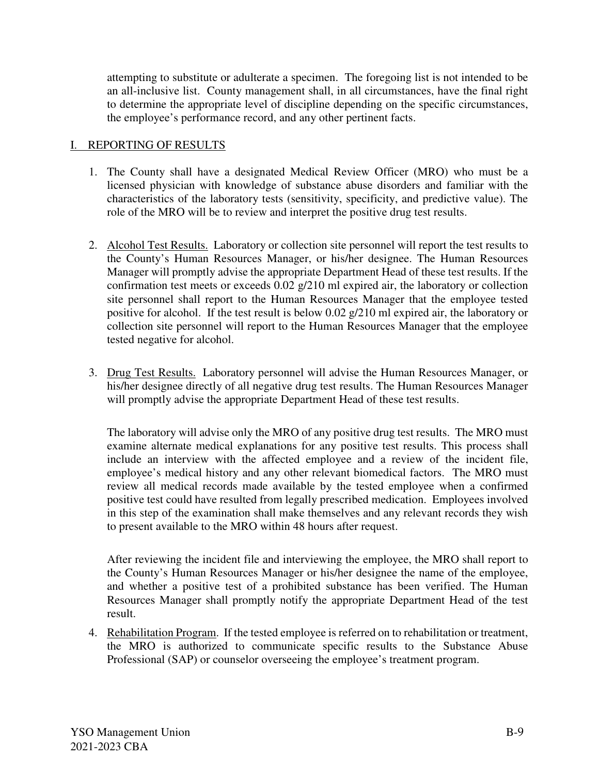attempting to substitute or adulterate a specimen. The foregoing list is not intended to be an all-inclusive list. County management shall, in all circumstances, have the final right to determine the appropriate level of discipline depending on the specific circumstances, the employee's performance record, and any other pertinent facts.

#### I. REPORTING OF RESULTS

- 1. The County shall have a designated Medical Review Officer (MRO) who must be a licensed physician with knowledge of substance abuse disorders and familiar with the characteristics of the laboratory tests (sensitivity, specificity, and predictive value). The role of the MRO will be to review and interpret the positive drug test results.
- 2. Alcohol Test Results. Laboratory or collection site personnel will report the test results to the County's Human Resources Manager, or his/her designee. The Human Resources Manager will promptly advise the appropriate Department Head of these test results. If the confirmation test meets or exceeds 0.02 g/210 ml expired air, the laboratory or collection site personnel shall report to the Human Resources Manager that the employee tested positive for alcohol. If the test result is below 0.02 g/210 ml expired air, the laboratory or collection site personnel will report to the Human Resources Manager that the employee tested negative for alcohol.
- 3. Drug Test Results. Laboratory personnel will advise the Human Resources Manager, or his/her designee directly of all negative drug test results. The Human Resources Manager will promptly advise the appropriate Department Head of these test results.

 The laboratory will advise only the MRO of any positive drug test results. The MRO must examine alternate medical explanations for any positive test results. This process shall include an interview with the affected employee and a review of the incident file, employee's medical history and any other relevant biomedical factors. The MRO must review all medical records made available by the tested employee when a confirmed positive test could have resulted from legally prescribed medication. Employees involved in this step of the examination shall make themselves and any relevant records they wish to present available to the MRO within 48 hours after request.

 After reviewing the incident file and interviewing the employee, the MRO shall report to the County's Human Resources Manager or his/her designee the name of the employee, and whether a positive test of a prohibited substance has been verified. The Human Resources Manager shall promptly notify the appropriate Department Head of the test result.

4. Rehabilitation Program. If the tested employee is referred on to rehabilitation or treatment, the MRO is authorized to communicate specific results to the Substance Abuse Professional (SAP) or counselor overseeing the employee's treatment program.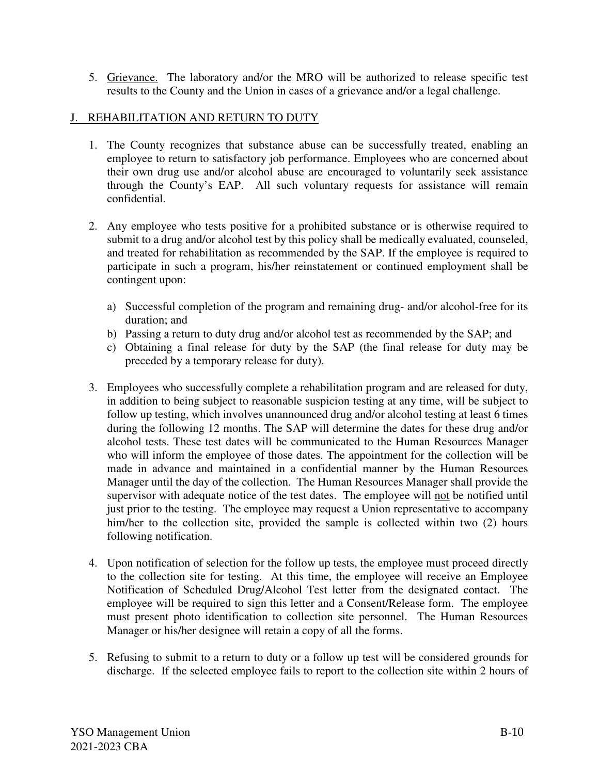5. Grievance. The laboratory and/or the MRO will be authorized to release specific test results to the County and the Union in cases of a grievance and/or a legal challenge.

#### J. REHABILITATION AND RETURN TO DUTY

- 1. The County recognizes that substance abuse can be successfully treated, enabling an employee to return to satisfactory job performance. Employees who are concerned about their own drug use and/or alcohol abuse are encouraged to voluntarily seek assistance through the County's EAP. All such voluntary requests for assistance will remain confidential.
- 2. Any employee who tests positive for a prohibited substance or is otherwise required to submit to a drug and/or alcohol test by this policy shall be medically evaluated, counseled, and treated for rehabilitation as recommended by the SAP. If the employee is required to participate in such a program, his/her reinstatement or continued employment shall be contingent upon:
	- a) Successful completion of the program and remaining drug- and/or alcohol-free for its duration; and
	- b) Passing a return to duty drug and/or alcohol test as recommended by the SAP; and
	- c) Obtaining a final release for duty by the SAP (the final release for duty may be preceded by a temporary release for duty).
- 3. Employees who successfully complete a rehabilitation program and are released for duty, in addition to being subject to reasonable suspicion testing at any time, will be subject to follow up testing, which involves unannounced drug and/or alcohol testing at least 6 times during the following 12 months. The SAP will determine the dates for these drug and/or alcohol tests. These test dates will be communicated to the Human Resources Manager who will inform the employee of those dates. The appointment for the collection will be made in advance and maintained in a confidential manner by the Human Resources Manager until the day of the collection. The Human Resources Manager shall provide the supervisor with adequate notice of the test dates. The employee will not be notified until just prior to the testing. The employee may request a Union representative to accompany him/her to the collection site, provided the sample is collected within two (2) hours following notification.
- 4. Upon notification of selection for the follow up tests, the employee must proceed directly to the collection site for testing. At this time, the employee will receive an Employee Notification of Scheduled Drug/Alcohol Test letter from the designated contact. The employee will be required to sign this letter and a Consent/Release form. The employee must present photo identification to collection site personnel. The Human Resources Manager or his/her designee will retain a copy of all the forms.
- 5. Refusing to submit to a return to duty or a follow up test will be considered grounds for discharge. If the selected employee fails to report to the collection site within 2 hours of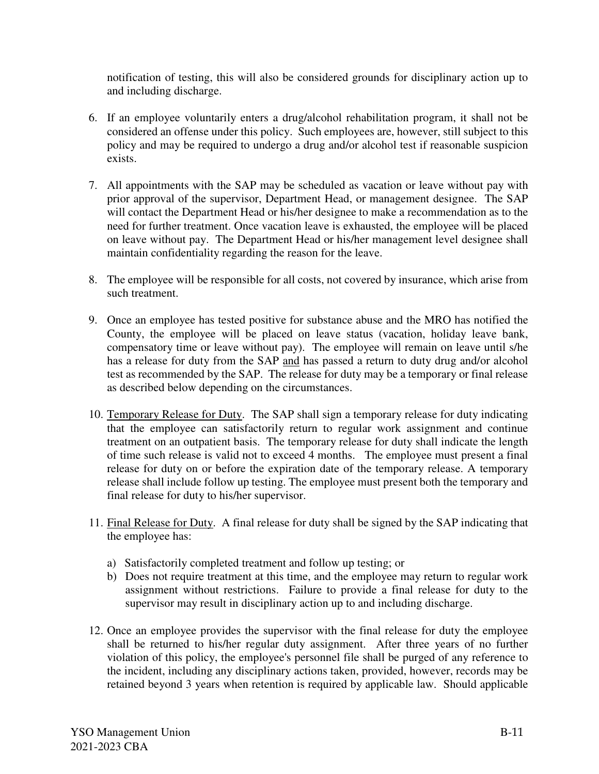notification of testing, this will also be considered grounds for disciplinary action up to and including discharge.

- 6. If an employee voluntarily enters a drug/alcohol rehabilitation program, it shall not be considered an offense under this policy. Such employees are, however, still subject to this policy and may be required to undergo a drug and/or alcohol test if reasonable suspicion exists.
- 7. All appointments with the SAP may be scheduled as vacation or leave without pay with prior approval of the supervisor, Department Head, or management designee. The SAP will contact the Department Head or his/her designee to make a recommendation as to the need for further treatment. Once vacation leave is exhausted, the employee will be placed on leave without pay. The Department Head or his/her management level designee shall maintain confidentiality regarding the reason for the leave.
- 8. The employee will be responsible for all costs, not covered by insurance, which arise from such treatment.
- 9. Once an employee has tested positive for substance abuse and the MRO has notified the County, the employee will be placed on leave status (vacation, holiday leave bank, compensatory time or leave without pay). The employee will remain on leave until s/he has a release for duty from the SAP and has passed a return to duty drug and/or alcohol test as recommended by the SAP. The release for duty may be a temporary or final release as described below depending on the circumstances.
- 10. Temporary Release for Duty. The SAP shall sign a temporary release for duty indicating that the employee can satisfactorily return to regular work assignment and continue treatment on an outpatient basis. The temporary release for duty shall indicate the length of time such release is valid not to exceed 4 months. The employee must present a final release for duty on or before the expiration date of the temporary release. A temporary release shall include follow up testing. The employee must present both the temporary and final release for duty to his/her supervisor.
- 11. Final Release for Duty. A final release for duty shall be signed by the SAP indicating that the employee has:
	- a) Satisfactorily completed treatment and follow up testing; or
	- b) Does not require treatment at this time, and the employee may return to regular work assignment without restrictions. Failure to provide a final release for duty to the supervisor may result in disciplinary action up to and including discharge.
- 12. Once an employee provides the supervisor with the final release for duty the employee shall be returned to his/her regular duty assignment. After three years of no further violation of this policy, the employee's personnel file shall be purged of any reference to the incident, including any disciplinary actions taken, provided, however, records may be retained beyond 3 years when retention is required by applicable law. Should applicable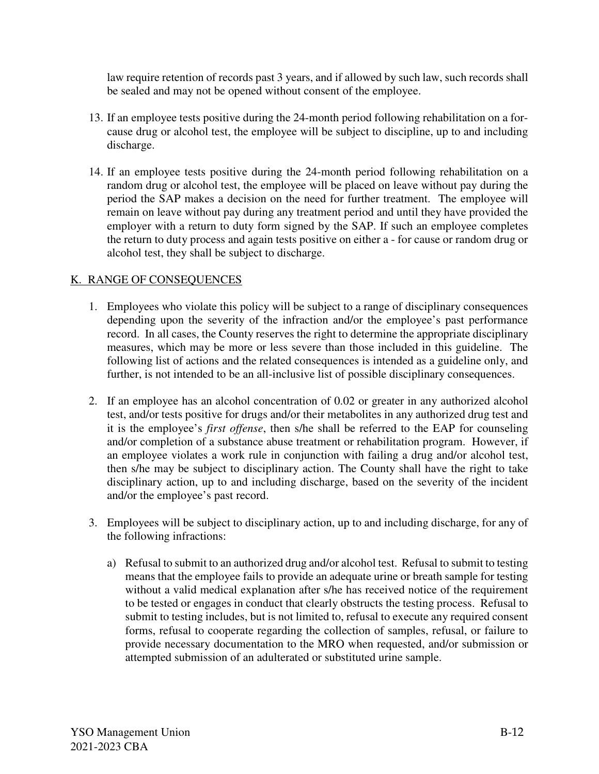law require retention of records past 3 years, and if allowed by such law, such records shall be sealed and may not be opened without consent of the employee.

- 13. If an employee tests positive during the 24-month period following rehabilitation on a forcause drug or alcohol test, the employee will be subject to discipline, up to and including discharge.
- 14. If an employee tests positive during the 24-month period following rehabilitation on a random drug or alcohol test, the employee will be placed on leave without pay during the period the SAP makes a decision on the need for further treatment. The employee will remain on leave without pay during any treatment period and until they have provided the employer with a return to duty form signed by the SAP. If such an employee completes the return to duty process and again tests positive on either a - for cause or random drug or alcohol test, they shall be subject to discharge.

### K. RANGE OF CONSEQUENCES

- 1. Employees who violate this policy will be subject to a range of disciplinary consequences depending upon the severity of the infraction and/or the employee's past performance record. In all cases, the County reserves the right to determine the appropriate disciplinary measures, which may be more or less severe than those included in this guideline. The following list of actions and the related consequences is intended as a guideline only, and further, is not intended to be an all-inclusive list of possible disciplinary consequences.
- 2. If an employee has an alcohol concentration of 0.02 or greater in any authorized alcohol test, and/or tests positive for drugs and/or their metabolites in any authorized drug test and it is the employee's *first offense*, then s/he shall be referred to the EAP for counseling and/or completion of a substance abuse treatment or rehabilitation program. However, if an employee violates a work rule in conjunction with failing a drug and/or alcohol test, then s/he may be subject to disciplinary action. The County shall have the right to take disciplinary action, up to and including discharge, based on the severity of the incident and/or the employee's past record.
- 3. Employees will be subject to disciplinary action, up to and including discharge, for any of the following infractions:
	- a) Refusal to submit to an authorized drug and/or alcohol test. Refusal to submit to testing means that the employee fails to provide an adequate urine or breath sample for testing without a valid medical explanation after s/he has received notice of the requirement to be tested or engages in conduct that clearly obstructs the testing process. Refusal to submit to testing includes, but is not limited to, refusal to execute any required consent forms, refusal to cooperate regarding the collection of samples, refusal, or failure to provide necessary documentation to the MRO when requested, and/or submission or attempted submission of an adulterated or substituted urine sample.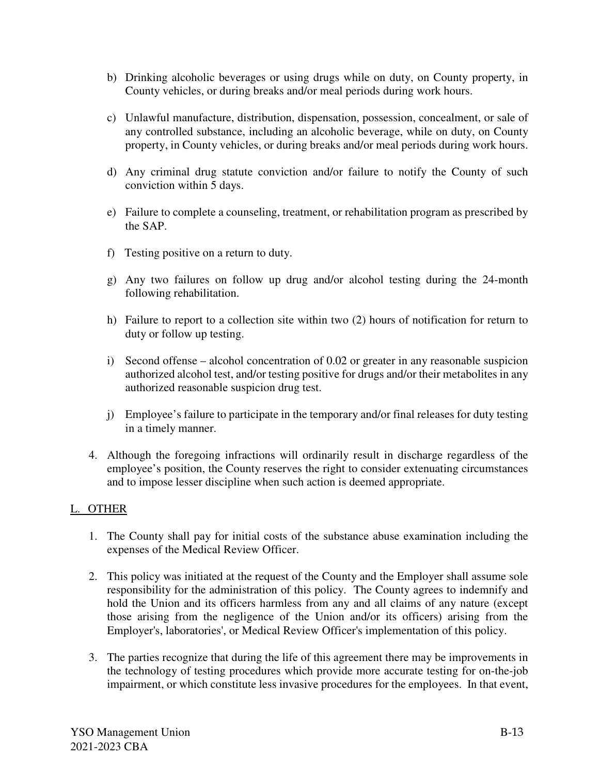- b) Drinking alcoholic beverages or using drugs while on duty, on County property, in County vehicles, or during breaks and/or meal periods during work hours.
- c) Unlawful manufacture, distribution, dispensation, possession, concealment, or sale of any controlled substance, including an alcoholic beverage, while on duty, on County property, in County vehicles, or during breaks and/or meal periods during work hours.
- d) Any criminal drug statute conviction and/or failure to notify the County of such conviction within 5 days.
- e) Failure to complete a counseling, treatment, or rehabilitation program as prescribed by the SAP.
- f) Testing positive on a return to duty.
- g) Any two failures on follow up drug and/or alcohol testing during the 24-month following rehabilitation.
- h) Failure to report to a collection site within two (2) hours of notification for return to duty or follow up testing.
- i) Second offense alcohol concentration of 0.02 or greater in any reasonable suspicion authorized alcohol test, and/or testing positive for drugs and/or their metabolites in any authorized reasonable suspicion drug test.
- j) Employee's failure to participate in the temporary and/or final releases for duty testing in a timely manner.
- 4. Although the foregoing infractions will ordinarily result in discharge regardless of the employee's position, the County reserves the right to consider extenuating circumstances and to impose lesser discipline when such action is deemed appropriate.

### L. OTHER

- 1. The County shall pay for initial costs of the substance abuse examination including the expenses of the Medical Review Officer.
- 2. This policy was initiated at the request of the County and the Employer shall assume sole responsibility for the administration of this policy. The County agrees to indemnify and hold the Union and its officers harmless from any and all claims of any nature (except those arising from the negligence of the Union and/or its officers) arising from the Employer's, laboratories', or Medical Review Officer's implementation of this policy.
- 3. The parties recognize that during the life of this agreement there may be improvements in the technology of testing procedures which provide more accurate testing for on-the-job impairment, or which constitute less invasive procedures for the employees. In that event,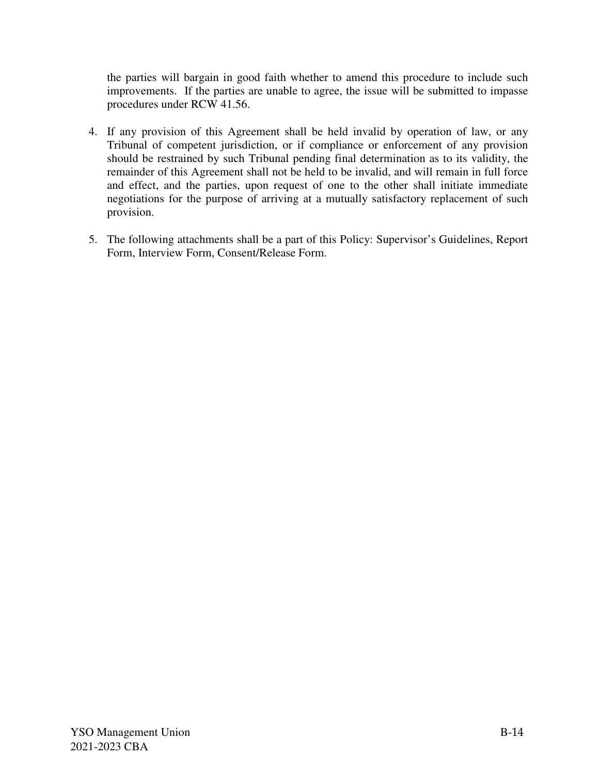the parties will bargain in good faith whether to amend this procedure to include such improvements. If the parties are unable to agree, the issue will be submitted to impasse procedures under RCW 41.56.

- 4. If any provision of this Agreement shall be held invalid by operation of law, or any Tribunal of competent jurisdiction, or if compliance or enforcement of any provision should be restrained by such Tribunal pending final determination as to its validity, the remainder of this Agreement shall not be held to be invalid, and will remain in full force and effect, and the parties, upon request of one to the other shall initiate immediate negotiations for the purpose of arriving at a mutually satisfactory replacement of such provision.
- 5. The following attachments shall be a part of this Policy: Supervisor's Guidelines, Report Form, Interview Form, Consent/Release Form.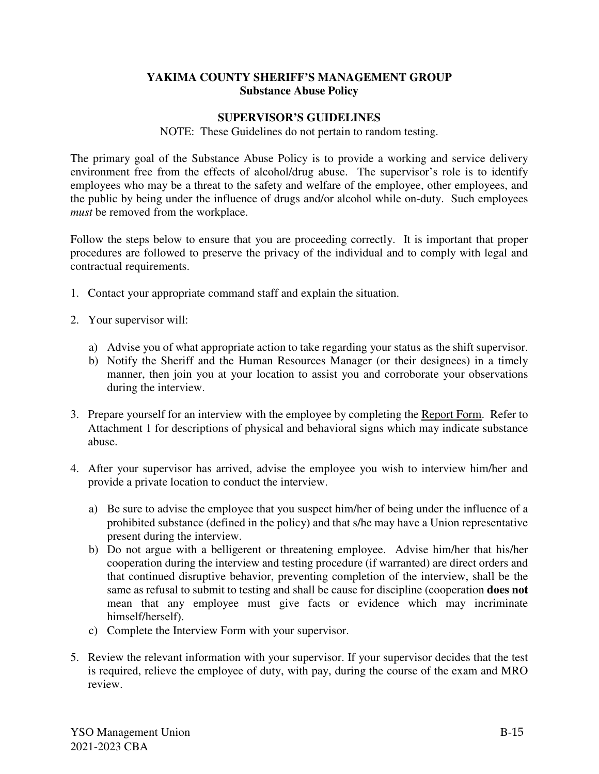#### **YAKIMA COUNTY SHERIFF'S MANAGEMENT GROUP Substance Abuse Policy**

#### **SUPERVISOR'S GUIDELINES**

NOTE: These Guidelines do not pertain to random testing.

The primary goal of the Substance Abuse Policy is to provide a working and service delivery environment free from the effects of alcohol/drug abuse. The supervisor's role is to identify employees who may be a threat to the safety and welfare of the employee, other employees, and the public by being under the influence of drugs and/or alcohol while on-duty. Such employees *must* be removed from the workplace.

Follow the steps below to ensure that you are proceeding correctly. It is important that proper procedures are followed to preserve the privacy of the individual and to comply with legal and contractual requirements.

- 1. Contact your appropriate command staff and explain the situation.
- 2. Your supervisor will:
	- a) Advise you of what appropriate action to take regarding your status as the shift supervisor.
	- b) Notify the Sheriff and the Human Resources Manager (or their designees) in a timely manner, then join you at your location to assist you and corroborate your observations during the interview.
- 3. Prepare yourself for an interview with the employee by completing the Report Form. Refer to Attachment 1 for descriptions of physical and behavioral signs which may indicate substance abuse.
- 4. After your supervisor has arrived, advise the employee you wish to interview him/her and provide a private location to conduct the interview.
	- a) Be sure to advise the employee that you suspect him/her of being under the influence of a prohibited substance (defined in the policy) and that s/he may have a Union representative present during the interview.
	- b) Do not argue with a belligerent or threatening employee. Advise him/her that his/her cooperation during the interview and testing procedure (if warranted) are direct orders and that continued disruptive behavior, preventing completion of the interview, shall be the same as refusal to submit to testing and shall be cause for discipline (cooperation **does not** mean that any employee must give facts or evidence which may incriminate himself/herself).
	- c) Complete the Interview Form with your supervisor.
- 5. Review the relevant information with your supervisor. If your supervisor decides that the test is required, relieve the employee of duty, with pay, during the course of the exam and MRO review.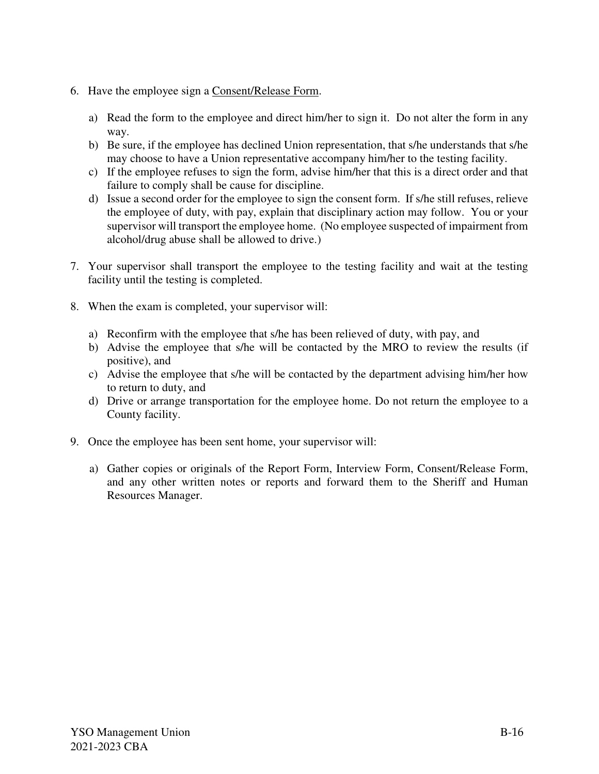- 6. Have the employee sign a Consent/Release Form.
	- a) Read the form to the employee and direct him/her to sign it. Do not alter the form in any way.
	- b) Be sure, if the employee has declined Union representation, that s/he understands that s/he may choose to have a Union representative accompany him/her to the testing facility.
	- c) If the employee refuses to sign the form, advise him/her that this is a direct order and that failure to comply shall be cause for discipline.
	- d) Issue a second order for the employee to sign the consent form. If s/he still refuses, relieve the employee of duty, with pay, explain that disciplinary action may follow. You or your supervisor will transport the employee home. (No employee suspected of impairment from alcohol/drug abuse shall be allowed to drive.)
- 7. Your supervisor shall transport the employee to the testing facility and wait at the testing facility until the testing is completed.
- 8. When the exam is completed, your supervisor will:
	- a) Reconfirm with the employee that s/he has been relieved of duty, with pay, and
	- b) Advise the employee that s/he will be contacted by the MRO to review the results (if positive), and
	- c) Advise the employee that s/he will be contacted by the department advising him/her how to return to duty, and
	- d) Drive or arrange transportation for the employee home. Do not return the employee to a County facility.
- 9. Once the employee has been sent home, your supervisor will:
	- a) Gather copies or originals of the Report Form, Interview Form, Consent/Release Form, and any other written notes or reports and forward them to the Sheriff and Human Resources Manager.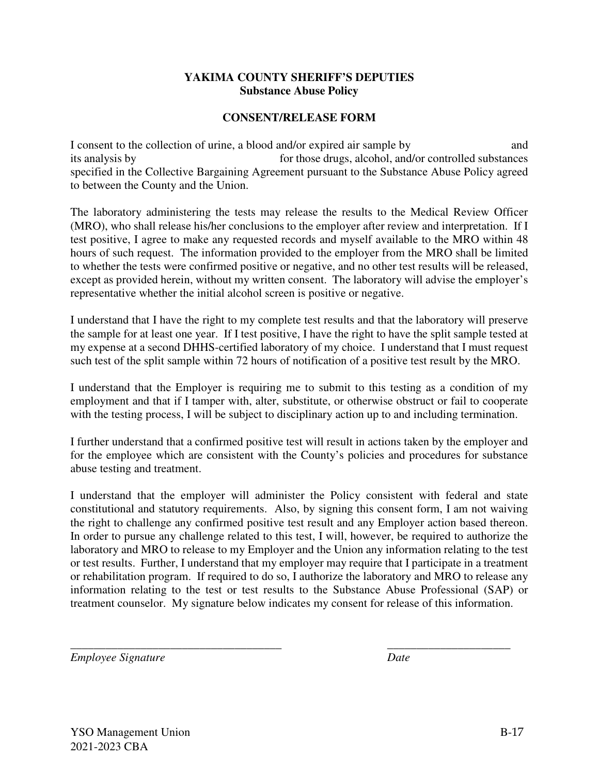#### **YAKIMA COUNTY SHERIFF'S DEPUTIES Substance Abuse Policy**

#### **CONSENT/RELEASE FORM**

I consent to the collection of urine, a blood and/or expired air sample by and its analysis by for those drugs, alcohol, and/or controlled substances specified in the Collective Bargaining Agreement pursuant to the Substance Abuse Policy agreed to between the County and the Union.

The laboratory administering the tests may release the results to the Medical Review Officer (MRO), who shall release his/her conclusions to the employer after review and interpretation. If I test positive, I agree to make any requested records and myself available to the MRO within 48 hours of such request. The information provided to the employer from the MRO shall be limited to whether the tests were confirmed positive or negative, and no other test results will be released, except as provided herein, without my written consent. The laboratory will advise the employer's representative whether the initial alcohol screen is positive or negative.

I understand that I have the right to my complete test results and that the laboratory will preserve the sample for at least one year. If I test positive, I have the right to have the split sample tested at my expense at a second DHHS-certified laboratory of my choice. I understand that I must request such test of the split sample within 72 hours of notification of a positive test result by the MRO.

I understand that the Employer is requiring me to submit to this testing as a condition of my employment and that if I tamper with, alter, substitute, or otherwise obstruct or fail to cooperate with the testing process, I will be subject to disciplinary action up to and including termination.

I further understand that a confirmed positive test will result in actions taken by the employer and for the employee which are consistent with the County's policies and procedures for substance abuse testing and treatment.

I understand that the employer will administer the Policy consistent with federal and state constitutional and statutory requirements. Also, by signing this consent form, I am not waiving the right to challenge any confirmed positive test result and any Employer action based thereon. In order to pursue any challenge related to this test, I will, however, be required to authorize the laboratory and MRO to release to my Employer and the Union any information relating to the test or test results. Further, I understand that my employer may require that I participate in a treatment or rehabilitation program. If required to do so, I authorize the laboratory and MRO to release any information relating to the test or test results to the Substance Abuse Professional (SAP) or treatment counselor. My signature below indicates my consent for release of this information.

\_\_\_\_\_\_\_\_\_\_\_\_\_\_\_\_\_\_\_\_\_\_\_\_\_\_\_\_\_\_\_\_\_\_\_\_ \_\_\_\_\_\_\_\_\_\_\_\_\_\_\_\_\_\_\_\_\_

*Employee Signature* Date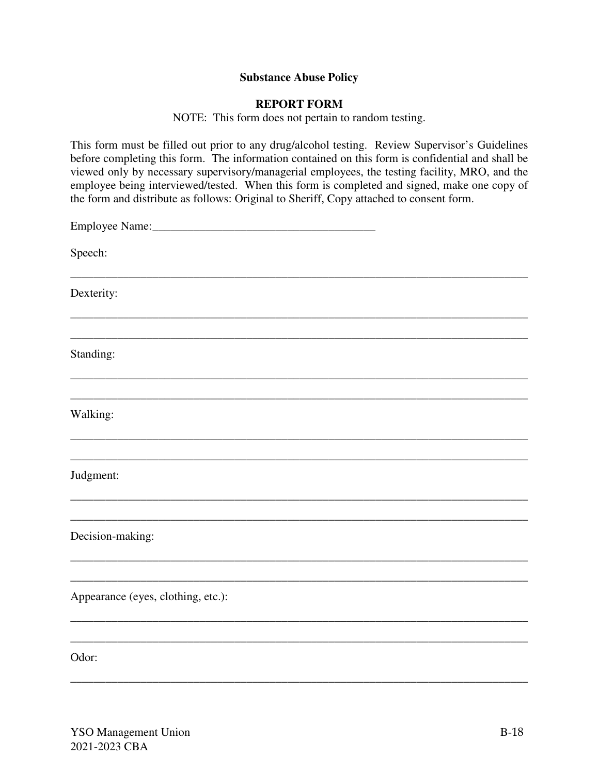#### **Substance Abuse Policy**

#### **REPORT FORM**

NOTE: This form does not pertain to random testing.

This form must be filled out prior to any drug/alcohol testing. Review Supervisor's Guidelines before completing this form. The information contained on this form is confidential and shall be viewed only by necessary supervisory/managerial employees, the testing facility, MRO, and the employee being interviewed/tested. When this form is completed and signed, make one copy of the form and distribute as follows: Original to Sheriff, Copy attached to consent form.

| Speech:                            |
|------------------------------------|
| Dexterity:                         |
| Standing:                          |
| Walking:                           |
| Judgment:                          |
| Decision-making:                   |
| Appearance (eyes, clothing, etc.): |
| Odor:                              |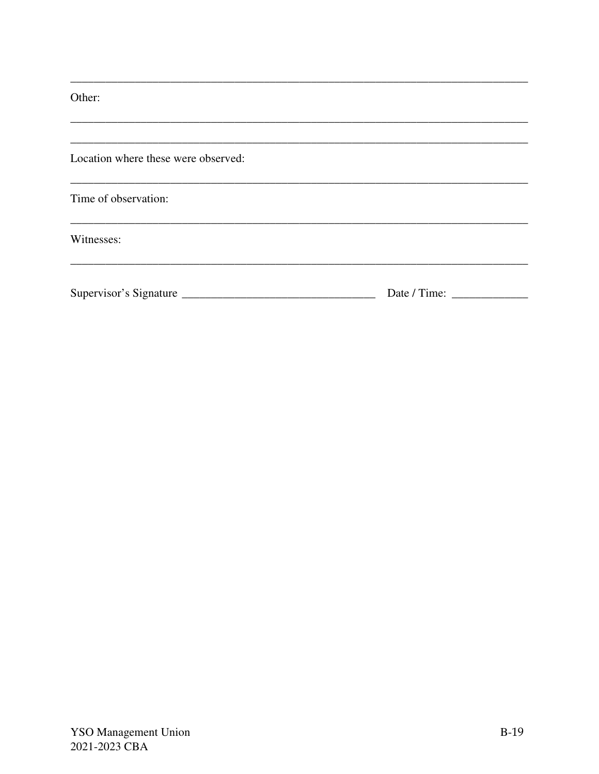Other:

| Location where these were observed: |              |
|-------------------------------------|--------------|
| Time of observation:                |              |
| Witnesses:                          |              |
|                                     | Date / Time: |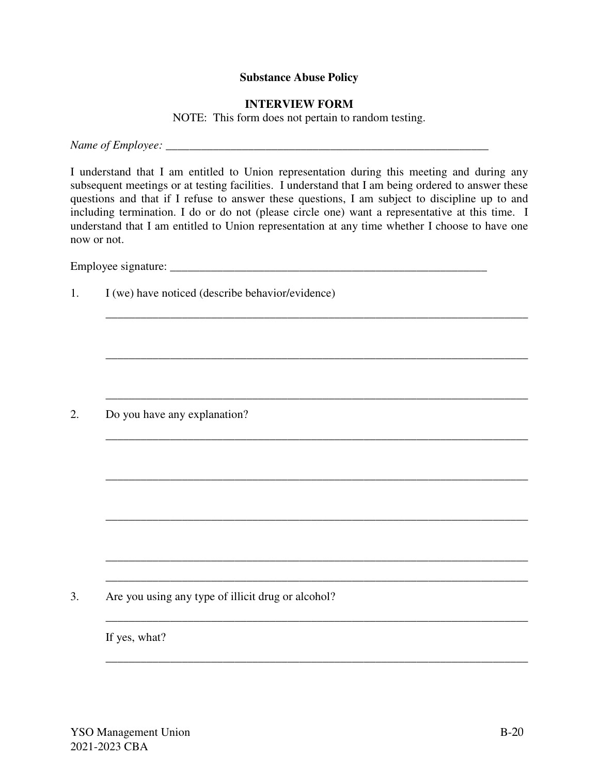#### **Substance Abuse Policy**

#### **INTERVIEW FORM**

NOTE: This form does not pertain to random testing.

*Name of Employee: \_\_\_\_\_\_\_\_\_\_\_\_\_\_\_\_\_\_\_\_\_\_\_\_\_\_\_\_\_\_\_\_\_\_\_\_\_\_\_\_\_\_\_\_\_\_\_\_\_\_\_\_\_\_\_* 

I understand that I am entitled to Union representation during this meeting and during any subsequent meetings or at testing facilities. I understand that I am being ordered to answer these questions and that if I refuse to answer these questions, I am subject to discipline up to and including termination. I do or do not (please circle one) want a representative at this time. I understand that I am entitled to Union representation at any time whether I choose to have one now or not.

\_\_\_\_\_\_\_\_\_\_\_\_\_\_\_\_\_\_\_\_\_\_\_\_\_\_\_\_\_\_\_\_\_\_\_\_\_\_\_\_\_\_\_\_\_\_\_\_\_\_\_\_\_\_\_\_\_\_\_\_\_\_\_\_\_\_\_\_\_\_\_\_

\_\_\_\_\_\_\_\_\_\_\_\_\_\_\_\_\_\_\_\_\_\_\_\_\_\_\_\_\_\_\_\_\_\_\_\_\_\_\_\_\_\_\_\_\_\_\_\_\_\_\_\_\_\_\_\_\_\_\_\_\_\_\_\_\_\_\_\_\_\_\_\_

\_\_\_\_\_\_\_\_\_\_\_\_\_\_\_\_\_\_\_\_\_\_\_\_\_\_\_\_\_\_\_\_\_\_\_\_\_\_\_\_\_\_\_\_\_\_\_\_\_\_\_\_\_\_\_\_\_\_\_\_\_\_\_\_\_\_\_\_\_\_\_\_

\_\_\_\_\_\_\_\_\_\_\_\_\_\_\_\_\_\_\_\_\_\_\_\_\_\_\_\_\_\_\_\_\_\_\_\_\_\_\_\_\_\_\_\_\_\_\_\_\_\_\_\_\_\_\_\_\_\_\_\_\_\_\_\_\_\_\_\_\_\_\_\_

\_\_\_\_\_\_\_\_\_\_\_\_\_\_\_\_\_\_\_\_\_\_\_\_\_\_\_\_\_\_\_\_\_\_\_\_\_\_\_\_\_\_\_\_\_\_\_\_\_\_\_\_\_\_\_\_\_\_\_\_\_\_\_\_\_\_\_\_\_\_\_\_

\_\_\_\_\_\_\_\_\_\_\_\_\_\_\_\_\_\_\_\_\_\_\_\_\_\_\_\_\_\_\_\_\_\_\_\_\_\_\_\_\_\_\_\_\_\_\_\_\_\_\_\_\_\_\_\_\_\_\_\_\_\_\_\_\_\_\_\_\_\_\_\_

\_\_\_\_\_\_\_\_\_\_\_\_\_\_\_\_\_\_\_\_\_\_\_\_\_\_\_\_\_\_\_\_\_\_\_\_\_\_\_\_\_\_\_\_\_\_\_\_\_\_\_\_\_\_\_\_\_\_\_\_\_\_\_\_\_\_\_\_\_\_\_\_

\_\_\_\_\_\_\_\_\_\_\_\_\_\_\_\_\_\_\_\_\_\_\_\_\_\_\_\_\_\_\_\_\_\_\_\_\_\_\_\_\_\_\_\_\_\_\_\_\_\_\_\_\_\_\_\_\_\_\_\_\_\_\_\_\_\_\_\_\_\_\_\_

\_\_\_\_\_\_\_\_\_\_\_\_\_\_\_\_\_\_\_\_\_\_\_\_\_\_\_\_\_\_\_\_\_\_\_\_\_\_\_\_\_\_\_\_\_\_\_\_\_\_\_\_\_\_\_\_\_\_\_\_\_\_\_\_\_\_\_\_\_\_\_\_

Employee signature: \_\_\_\_\_\_\_\_\_\_\_\_\_\_\_\_\_\_\_\_\_\_\_\_\_\_\_\_\_\_\_\_\_\_\_\_\_\_\_\_\_\_\_\_\_\_\_\_\_\_\_\_\_\_

1. I (we) have noticed (describe behavior/evidence)

2. Do you have any explanation?

3. Are you using any type of illicit drug or alcohol?

If yes, what?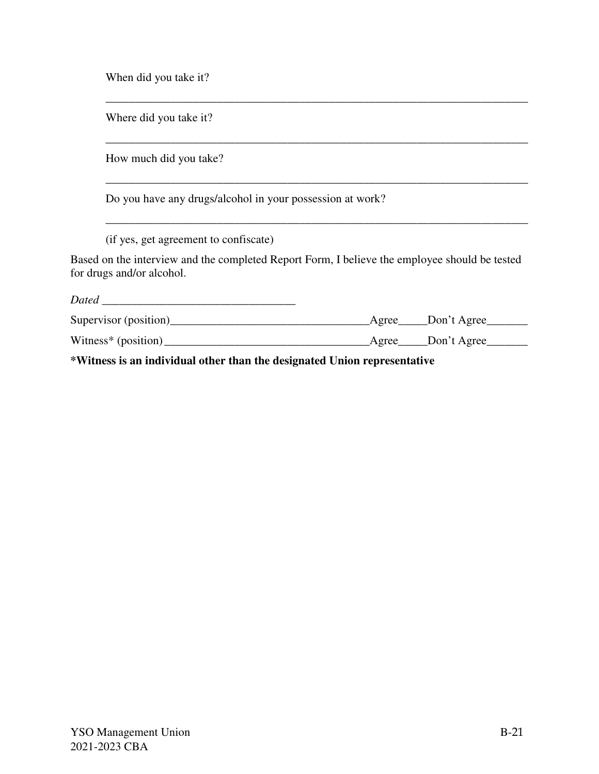When did you take it?

Where did you take it?

How much did you take?

Do you have any drugs/alcohol in your possession at work?

(if yes, get agreement to confiscate)

Based on the interview and the completed Report Form, I believe the employee should be tested for drugs and/or alcohol.

\_\_\_\_\_\_\_\_\_\_\_\_\_\_\_\_\_\_\_\_\_\_\_\_\_\_\_\_\_\_\_\_\_\_\_\_\_\_\_\_\_\_\_\_\_\_\_\_\_\_\_\_\_\_\_\_\_\_\_\_\_\_\_\_\_\_\_\_\_\_\_\_

\_\_\_\_\_\_\_\_\_\_\_\_\_\_\_\_\_\_\_\_\_\_\_\_\_\_\_\_\_\_\_\_\_\_\_\_\_\_\_\_\_\_\_\_\_\_\_\_\_\_\_\_\_\_\_\_\_\_\_\_\_\_\_\_\_\_\_\_\_\_\_\_

\_\_\_\_\_\_\_\_\_\_\_\_\_\_\_\_\_\_\_\_\_\_\_\_\_\_\_\_\_\_\_\_\_\_\_\_\_\_\_\_\_\_\_\_\_\_\_\_\_\_\_\_\_\_\_\_\_\_\_\_\_\_\_\_\_\_\_\_\_\_\_\_

\_\_\_\_\_\_\_\_\_\_\_\_\_\_\_\_\_\_\_\_\_\_\_\_\_\_\_\_\_\_\_\_\_\_\_\_\_\_\_\_\_\_\_\_\_\_\_\_\_\_\_\_\_\_\_\_\_\_\_\_\_\_\_\_\_\_\_\_\_\_\_\_

| <b>Dated</b>          |                         |
|-----------------------|-------------------------|
| Supervisor (position) | ___Don't Agree<br>Agree |
| Witness* $(position)$ | Agree Don't Agree       |
|                       |                         |

**\*Witness is an individual other than the designated Union representative**